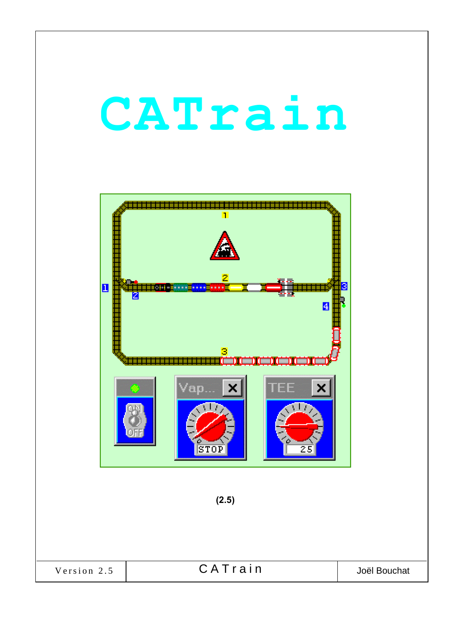# CATrain



| Version 2.5 | CATrain | Joël Bouchat |
|-------------|---------|--------------|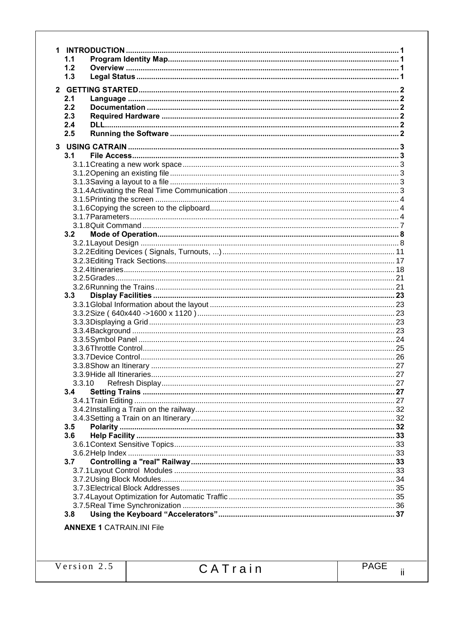| 1.1 |                                  |      |
|-----|----------------------------------|------|
| 1.2 |                                  |      |
| 1.3 |                                  |      |
|     |                                  |      |
|     |                                  |      |
| 2.1 |                                  |      |
| 2.2 |                                  |      |
| 2.3 |                                  |      |
| 2.4 |                                  |      |
| 2.5 |                                  |      |
|     |                                  |      |
| 3.1 |                                  |      |
|     |                                  |      |
|     |                                  |      |
|     |                                  |      |
|     |                                  |      |
|     |                                  |      |
|     |                                  |      |
|     |                                  |      |
|     |                                  |      |
| 3.2 |                                  |      |
|     |                                  |      |
|     |                                  |      |
|     |                                  |      |
|     |                                  |      |
|     |                                  |      |
|     |                                  |      |
| 3.3 |                                  |      |
|     |                                  |      |
|     |                                  |      |
|     |                                  |      |
|     |                                  |      |
|     |                                  |      |
|     |                                  |      |
|     |                                  |      |
|     |                                  |      |
|     |                                  |      |
|     |                                  | . 27 |
| 3.4 |                                  |      |
|     |                                  |      |
|     |                                  |      |
|     |                                  |      |
| 3.5 |                                  |      |
| 3.6 |                                  |      |
|     |                                  |      |
|     |                                  |      |
| 3.7 |                                  |      |
|     |                                  |      |
|     |                                  |      |
|     |                                  |      |
|     |                                  |      |
|     |                                  |      |
| 3.8 |                                  |      |
|     | <b>ANNEXE 1 CATRAIN.INI File</b> |      |
|     |                                  |      |
|     |                                  |      |
|     |                                  |      |
|     |                                  |      |

 $\ddot{\mathbf{h}}$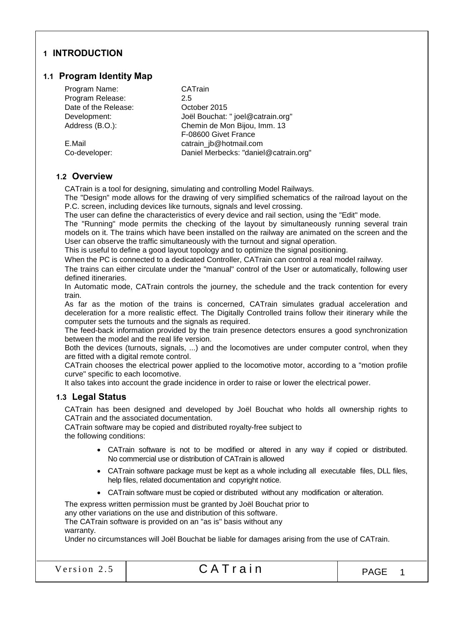# 1 INTRODUCTION

# 1.1 Program Identity Map

| Program Name:        | CATrain                               |
|----------------------|---------------------------------------|
| Program Release:     | 2.5                                   |
| Date of the Release: | October 2015                          |
| Development:         | Joël Bouchat: " joel@catrain.org"     |
| Address (B.O.):      | Chemin de Mon Bijou, Imm. 13          |
|                      | F-08600 Givet France                  |
| E.Mail               | catrain_jb@hotmail.com                |
| Co-developer:        | Daniel Merbecks: "daniel@catrain.org" |
|                      |                                       |

# 1.2 Overview

CATrain is a tool for designing, simulating and controlling Model Railways.

The "Design" mode allows for the drawing of very simplified schematics of the railroad layout on the P.C. screen, including devices like turnouts, signals and level crossing.

The user can define the characteristics of every device and rail section, using the "Edit" mode.

The "Running" mode permits the checking of the layout by simultaneously running several train models on it. The trains which have been installed on the railway are animated on the screen and the User can observe the traffic simultaneously with the turnout and signal operation.

This is useful to define a good layout topology and to optimize the signal positioning.

When the PC is connected to a dedicated Controller, CATrain can control a real model railway.

The trains can either circulate under the "manual" control of the User or automatically, following user defined itineraries.

In Automatic mode, CATrain controls the journey, the schedule and the track contention for every train.

As far as the motion of the trains is concerned, CATrain simulates gradual acceleration and deceleration for a more realistic effect. The Digitally Controlled trains follow their itinerary while the computer sets the turnouts and the signals as required.

The feed-back information provided by the train presence detectors ensures a good synchronization between the model and the real life version.

Both the devices (turnouts, signals, ...) and the locomotives are under computer control, when they are fitted with a digital remote control.

CATrain chooses the electrical power applied to the locomotive motor, according to a "motion profile curve" specific to each locomotive.

It also takes into account the grade incidence in order to raise or lower the electrical power.

# 1.3 Legal Status

CATrain has been designed and developed by Joël Bouchat who holds all ownership rights to CATrain and the associated documentation.

CATrain software may be copied and distributed royalty-free subject to the following conditions:

- CATrain software is not to be modified or altered in any way if copied or distributed. No commercial use or distribution of CATrain is allowed
- CATrain software package must be kept as a whole including all executable files, DLL files, help files, related documentation and copyright notice.
- CATrain software must be copied or distributed without any modification or alteration.

The express written permission must be granted by Joël Bouchat prior to

any other variations on the use and distribution of this software.

The CATrain software is provided on an "as is" basis without any

warranty.

Under no circumstances will Joël Bouchat be liable for damages arising from the use of CATrain.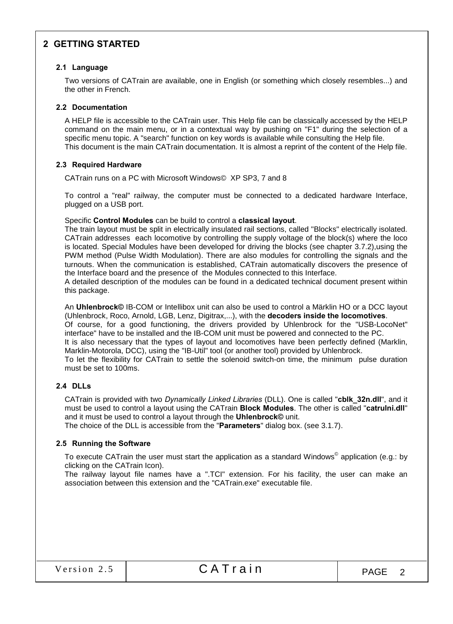# 2 GETTING STARTED

#### 2.1 Language

Two versions of CATrain are available, one in English (or something which closely resembles...) and the other in French.

#### 2.2 Documentation

A HELP file is accessible to the CATrain user. This Help file can be classically accessed by the HELP command on the main menu, or in a contextual way by pushing on "F1" during the selection of a specific menu topic. A "search" function on key words is available while consulting the Help file. This document is the main CATrain documentation. It is almost a reprint of the content of the Help file.

# 2.3 Required Hardware

CATrain runs on a PC with Microsoft Windows© XP SP3, 7 and 8

To control a "real" railway, the computer must be connected to a dedicated hardware Interface, plugged on a USB port.

Specific Control Modules can be build to control a classical layout.

The train layout must be split in electrically insulated rail sections, called "Blocks" electrically isolated. CATrain addresses each locomotive by controlling the supply voltage of the block(s) where the loco is located. Special Modules have been developed for driving the blocks (see chapter 3.7.2),using the PWM method (Pulse Width Modulation). There are also modules for controlling the signals and the turnouts. When the communication is established, CATrain automatically discovers the presence of the Interface board and the presence of the Modules connected to this Interface.

A detailed description of the modules can be found in a dedicated technical document present within this package.

An Uhlenbrock© IB-COM or Intellibox unit can also be used to control a Märklin HO or a DCC layout (Uhlenbrock, Roco, Arnold, LGB, Lenz, Digitrax,...), with the decoders inside the locomotives. Of course, for a good functioning, the drivers provided by Uhlenbrock for the "USB-LocoNet" interface" have to be installed and the IB-COM unit must be powered and connected to the PC. It is also necessary that the types of layout and locomotives have been perfectly defined (Marklin, Marklin-Motorola, DCC), using the "IB-Util" tool (or another tool) provided by Uhlenbrock. To let the flexibility for CATrain to settle the solenoid switch-on time, the minimum pulse duration must be set to 100ms.

# 2.4 DLLs

CATrain is provided with two *Dynamically Linked Libraries* (DLL). One is called "cblk\_32n.dll", and it must be used to control a layout using the CATrain Block Modules. The other is called "catrulni.dll" and it must be used to control a layout through the Uhlenbrock© unit.

The choice of the DLL is accessible from the "Parameters" dialog box. (see 3.1.7).

#### 2.5 Running the Software

To execute CATrain the user must start the application as a standard Windows<sup>©</sup> application (e.g.: by clicking on the CATrain Icon).

The railway layout file names have a ".TCI" extension. For his facility, the user can make an association between this extension and the "CATrain.exe" executable file.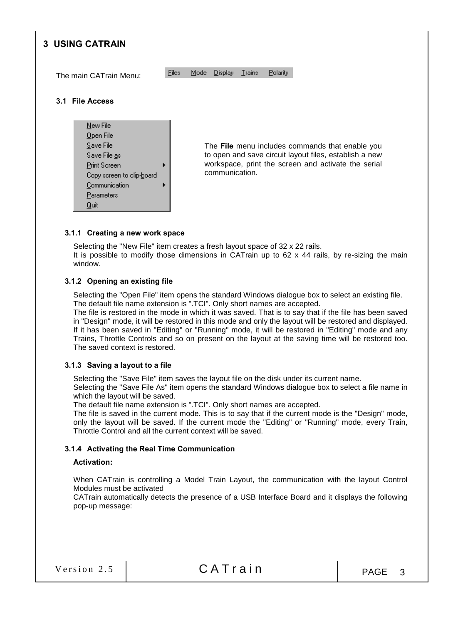

#### 3.1.1 Creating a new work space

Selecting the "New File" item creates a fresh layout space of 32 x 22 rails. It is possible to modify those dimensions in CATrain up to 62 x 44 rails, by re-sizing the main window.

# 3.1.2 Opening an existing file

Selecting the "Open File" item opens the standard Windows dialogue box to select an existing file. The default file name extension is ".TCI". Only short names are accepted.

The file is restored in the mode in which it was saved. That is to say that if the file has been saved in "Design" mode, it will be restored in this mode and only the layout will be restored and displayed. If it has been saved in "Editing" or "Running" mode, it will be restored in "Editing" mode and any Trains, Throttle Controls and so on present on the layout at the saving time will be restored too. The saved context is restored.

#### 3.1.3 Saving a layout to a file

Selecting the "Save File" item saves the layout file on the disk under its current name.

Selecting the "Save File As" item opens the standard Windows dialogue box to select a file name in which the layout will be saved.

The default file name extension is ".TCI". Only short names are accepted.

The file is saved in the current mode. This is to say that if the current mode is the "Design" mode, only the layout will be saved. If the current mode the "Editing" or "Running" mode, every Train, Throttle Control and all the current context will be saved.

#### 3.1.4 Activating the Real Time Communication

#### Activation:

When CATrain is controlling a Model Train Layout, the communication with the layout Control Modules must be activated

CATrain automatically detects the presence of a USB Interface Board and it displays the following pop-up message: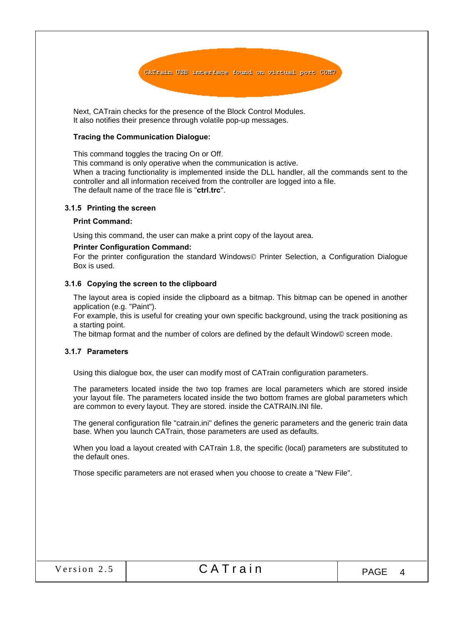

Next, CATrain checks for the presence of the Block Control Modules. It also notifies their presence through volatile pop-up messages.

#### Tracing the Communication Dialogue:

This command toggles the tracing On or Off.

This command is only operative when the communication is active. When a tracing functionality is implemented inside the DLL handler, all the commands sent to the controller and all information received from the controller are logged into a file. The default name of the trace file is "ctrl.trc".

#### 3.1.5 Printing the screen

#### Print Command:

Using this command, the user can make a print copy of the layout area.

#### Printer Configuration Command:

For the printer configuration the standard Windows Printer Selection, a Configuration Dialogue Box is used.

#### 3.1.6 Copying the screen to the clipboard

The layout area is copied inside the clipboard as a bitmap. This bitmap can be opened in another application (e.g. "Paint").

For example, this is useful for creating your own specific background, using the track positioning as a starting point.

The bitmap format and the number of colors are defined by the default Window© screen mode.

#### 3.1.7 Parameters

Using this dialogue box, the user can modify most of CATrain configuration parameters.

The parameters located inside the two top frames are local parameters which are stored inside your layout file. The parameters located inside the two bottom frames are global parameters which are common to every layout. They are stored. inside the CATRAIN.INI file.

The general configuration file "catrain.ini" defines the generic parameters and the generic train data base. When you launch CATrain, those parameters are used as defaults.

When you load a layout created with CATrain 1.8, the specific (local) parameters are substituted to the default ones.

Those specific parameters are not erased when you choose to create a "New File".

|  |  |  |  | Version 2.5 |  |
|--|--|--|--|-------------|--|
|--|--|--|--|-------------|--|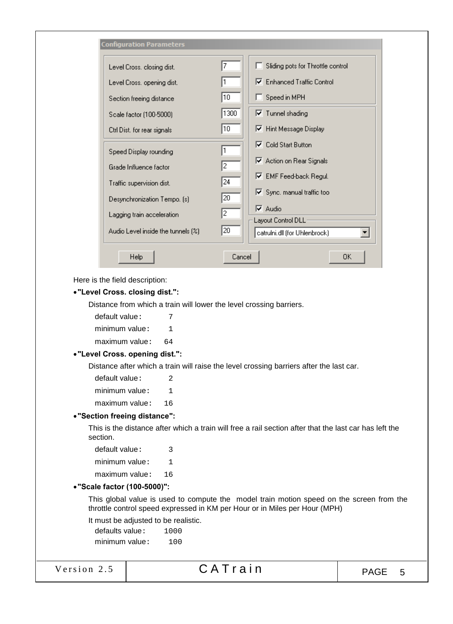| <b>Configuration Parameters</b>    |        |                                                      |
|------------------------------------|--------|------------------------------------------------------|
| Level Cross, closing dist.         | 7      | Sliding pots for Throttle control                    |
| Level Cross, opening dist,         |        | Ⅳ Enhanced Traffic Control                           |
| Section freeing distance           | 10     | Speed in MPH                                         |
| Scale factor (100-5000)            | 1300   | $\nabla$ Tunnel shading                              |
| Ctrl Dist, for rear signals        | 10     | Ⅳ Hint Message Display                               |
| Speed Display rounding             | 1      | $\nabla$ Cold Start Button                           |
| Grade Influence factor             | 2      | Ⅳ Action on Rear Signals                             |
| Traffic supervision dist.          | 24     | Ⅳ EMF Feed-back Regul.                               |
| Desynchronization Tempo. [s]       | 20     | Ⅳ Sync. manual traffic too                           |
| Lagging train acceleration         | 2      | l⊽ Audio                                             |
| Audio Level inside the tunnels (%) | 20     | Layout Control DLL:<br>catrulni.dll (for Uhlenbrock) |
| Help                               | Cancel | ОK                                                   |

Here is the field description:

#### "Level Cross. closing dist.":

Distance from which a train will lower the level crossing barriers.

| default value: | 7  |
|----------------|----|
| minimum value: | ı  |
| maximum value: | 64 |

#### "Level Cross. opening dist.":

Distance after which a train will raise the level crossing barriers after the last car.

| default value: | 2  |
|----------------|----|
| minimum value: | 1  |
| maximum value: | 16 |

# "Section freeing distance":

This is the distance after which a train will free a rail section after that the last car has left the section.

```
default value: 3
minimum value: 1
maximum value: 16
```
#### "Scale factor (100-5000)":

This global value is used to compute the model train motion speed on the screen from the throttle control speed expressed in KM per Hour or in Miles per Hour (MPH)

It must be adjusted to be realistic.

defaults value: 1000 minimum value: 100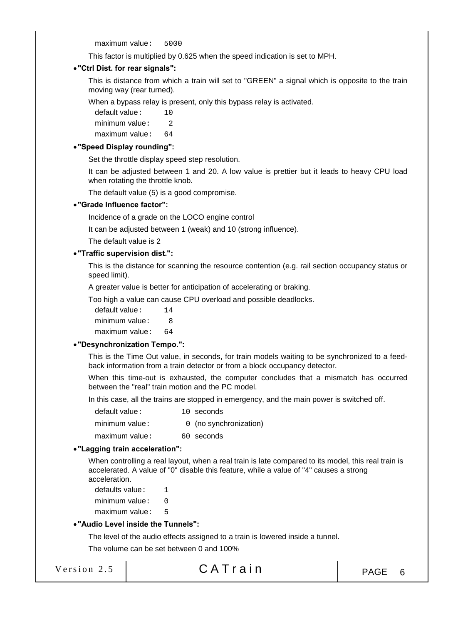maximum value: 5000

This factor is multiplied by 0.625 when the speed indication is set to MPH.

#### "Ctrl Dist. for rear signals":

This is distance from which a train will set to "GREEN" a signal which is opposite to the train moving way (rear turned).

When a bypass relay is present, only this bypass relay is activated.

- default value: 10
- minimum value: 2
- maximum value: 64

#### "Speed Display rounding":

Set the throttle display speed step resolution.

It can be adjusted between 1 and 20. A low value is prettier but it leads to heavy CPU load when rotating the throttle knob.

The default value (5) is a good compromise.

# "Grade Influence factor":

Incidence of a grade on the LOCO engine control

It can be adjusted between 1 (weak) and 10 (strong influence).

The default value is 2

#### "Traffic supervision dist.":

This is the distance for scanning the resource contention (e.g. rail section occupancy status or speed limit).

A greater value is better for anticipation of accelerating or braking.

Too high a value can cause CPU overload and possible deadlocks.

default value: 14 minimum value: 8 maximum value: 64

#### "Desynchronization Tempo.":

This is the Time Out value, in seconds, for train models waiting to be synchronized to a feedback information from a train detector or from a block occupancy detector.

When this time-out is exhausted, the computer concludes that a mismatch has occurred between the "real" train motion and the PC model.

In this case, all the trains are stopped in emergency, and the main power is switched off.

| default value: | 10 seconds             |
|----------------|------------------------|
| minimum value: | 0 (no synchronization) |

maximum value: 60 seconds

#### "Lagging train acceleration":

When controlling a real layout, when a real train is late compared to its model, this real train is accelerated. A value of "0" disable this feature, while a value of "4" causes a strong acceleration.

defaults value:  $1$ 

minimum value: 0

maximum value: 5

#### "Audio Level inside the Tunnels":

The level of the audio effects assigned to a train is lowered inside a tunnel.

The volume can be set between 0 and 100%

|  | Version 2.5 |  |
|--|-------------|--|

Version 2.5  $\begin{array}{|c|c|c|c|c|c|c|c|c|}\n\hline\n\text{Version 2.5} & \text{CA Train} & \text{PAGE} & 6\n\end{array}$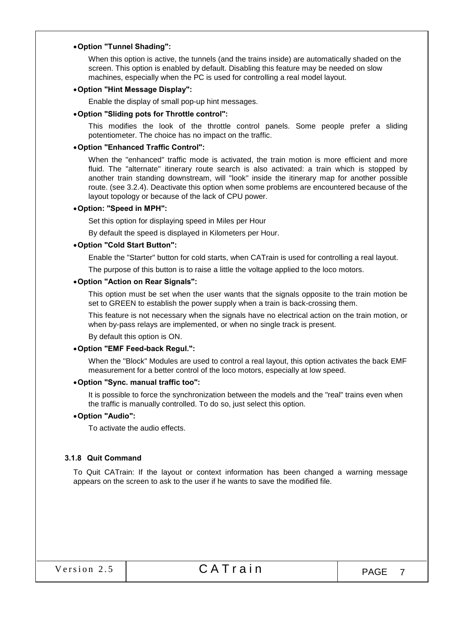#### Option "Tunnel Shading":

When this option is active, the tunnels (and the trains inside) are automatically shaded on the screen. This option is enabled by default. Disabling this feature may be needed on slow machines, especially when the PC is used for controlling a real model layout.

#### Option "Hint Message Display":

Enable the display of small pop-up hint messages.

#### Option "Sliding pots for Throttle control":

This modifies the look of the throttle control panels. Some people prefer a sliding potentiometer. The choice has no impact on the traffic.

#### Option "Enhanced Traffic Control":

When the "enhanced" traffic mode is activated, the train motion is more efficient and more fluid. The "alternate" itinerary route search is also activated: a train which is stopped by another train standing downstream, will "look" inside the itinerary map for another possible route. (see 3.2.4). Deactivate this option when some problems are encountered because of the layout topology or because of the lack of CPU power.

#### Option: "Speed in MPH":

Set this option for displaying speed in Miles per Hour

By default the speed is displayed in Kilometers per Hour.

#### Option "Cold Start Button":

Enable the "Starter" button for cold starts, when CATrain is used for controlling a real layout.

The purpose of this button is to raise a little the voltage applied to the loco motors.

#### Option "Action on Rear Signals":

This option must be set when the user wants that the signals opposite to the train motion be set to GREEN to establish the power supply when a train is back-crossing them.

This feature is not necessary when the signals have no electrical action on the train motion, or when by-pass relays are implemented, or when no single track is present.

By default this option is ON.

#### Option "EMF Feed-back Regul.":

When the "Block" Modules are used to control a real layout, this option activates the back EMF measurement for a better control of the loco motors, especially at low speed.

#### Option "Sync. manual traffic too":

It is possible to force the synchronization between the models and the "real" trains even when the traffic is manually controlled. To do so, just select this option.

#### Option "Audio":

To activate the audio effects.

#### 3.1.8 Quit Command

To Quit CATrain: If the layout or context information has been changed a warning message appears on the screen to ask to the user if he wants to save the modified file.

| Version 2.5 |  |
|-------------|--|
|             |  |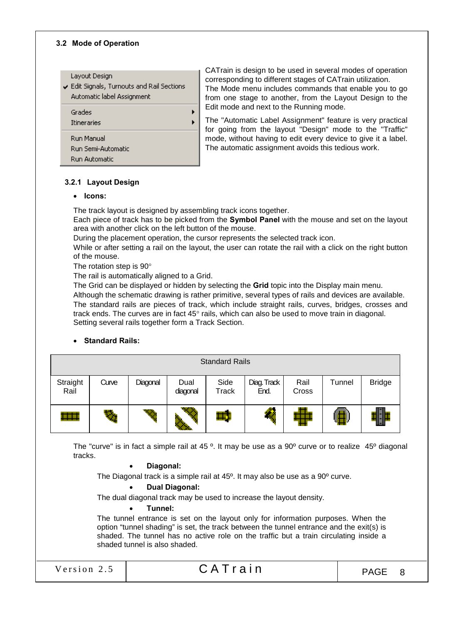#### 3.2 Mode of Operation

#### Layout Design

Edit Signals, Turnouts and Rail Sections Automatic label Assignment



CATrain is design to be used in several modes of operation corresponding to different stages of CATrain utilization. The Mode menu includes commands that enable you to go from one stage to another, from the Layout Design to the Edit mode and next to the Running mode.

The "Automatic Label Assignment" feature is very practical for going from the layout "Design" mode to the "Traffic" mode, without having to edit every device to give it a label. The automatic assignment avoids this tedious work.

# 3.2.1 Layout Design

#### • Icons:

The track layout is designed by assembling track icons together.

Each piece of track has to be picked from the Symbol Panel with the mouse and set on the layout area with another click on the left button of the mouse.

During the placement operation, the cursor represents the selected track icon.

While or after setting a rail on the layout, the user can rotate the rail with a click on the right button of the mouse.

The rotation step is 90°

The rail is automatically aligned to a Grid.

The Grid can be displayed or hidden by selecting the **Grid** topic into the Display main menu.

Although the schematic drawing is rather primitive, several types of rails and devices are available. The standard rails are pieces of track, which include straight rails, curves, bridges, crosses and track ends. The curves are in fact  $45^{\circ}$  rails, which can also be used to move train in diagonal. Setting several rails together form a Track Section.

# • Standard Rails:

|                  | <b>Standard Rails</b> |          |                  |                      |                     |               |        |               |
|------------------|-----------------------|----------|------------------|----------------------|---------------------|---------------|--------|---------------|
| Straight<br>Rail | Curve                 | Diagonal | Dual<br>diagonal | Side<br><b>Track</b> | Diag. Track<br>End. | Rail<br>Cross | Tunnel | <b>Bridge</b> |
| <b>.</b>         |                       | K.       |                  | ED.                  |                     |               |        |               |

The "curve" is in fact a simple rail at 45 °. It may be use as a 90° curve or to realize 45° diagonal tracks.

#### Diagonal:

The Diagonal track is a simple rail at 45º. It may also be use as a 90º curve.

#### Dual Diagonal:

The dual diagonal track may be used to increase the layout density.

#### Tunnel:

The tunnel entrance is set on the layout only for information purposes. When the option "tunnel shading" is set, the track between the tunnel entrance and the exit(s) is shaded. The tunnel has no active role on the traffic but a train circulating inside a shaded tunnel is also shaded.

# Version 2.5  $CATrain$  PAGE 8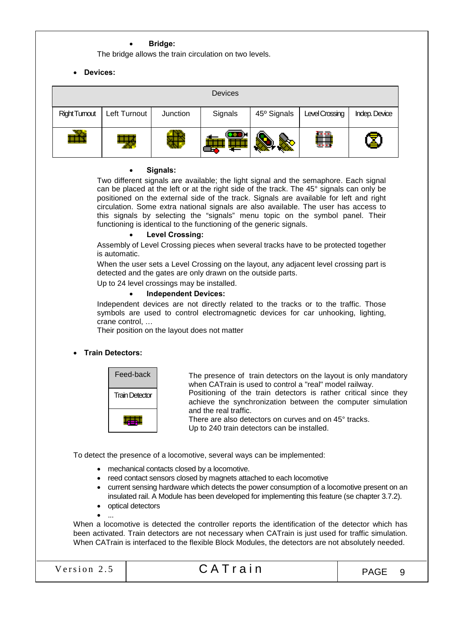#### Bridge:

The bridge allows the train circulation on two levels.

Devices:

|                     |              |          | <b>Devices</b> |                         |                |               |
|---------------------|--------------|----------|----------------|-------------------------|----------------|---------------|
| <b>Right Tumout</b> | Left Turnout | Junction | Signals        | 45 <sup>°</sup> Signals | Level Crossing | Indep. Device |
| ÆF                  |              |          |                |                         | ËŔ             |               |

#### Signals:

Two different signals are available; the light signal and the semaphore. Each signal can be placed at the left or at the right side of the track. The 45° signals can only be positioned on the external side of the track. Signals are available for left and right circulation. Some extra national signals are also available. The user has access to this signals by selecting the "signals" menu topic on the symbol panel. Their functioning is identical to the functioning of the generic signals.

#### Level Crossing:

Assembly of Level Crossing pieces when several tracks have to be protected together is automatic.

When the user sets a Level Crossing on the layout, any adjacent level crossing part is detected and the gates are only drawn on the outside parts.

Up to 24 level crossings may be installed.

#### Independent Devices:

Independent devices are not directly related to the tracks or to the traffic. Those symbols are used to control electromagnetic devices for car unhooking, lighting, crane control, …

Their position on the layout does not matter

#### Train Detectors:



The presence of train detectors on the layout is only mandatory when CATrain is used to control a "real" model railway. Positioning of the train detectors is rather critical since they achieve the synchronization between the computer simulation and the real traffic.

There are also detectors on curves and on 45° tracks. Up to 240 train detectors can be installed.

To detect the presence of a locomotive, several ways can be implemented:

- mechanical contacts closed by a locomotive.
- reed contact sensors closed by magnets attached to each locomotive
- current sensing hardware which detects the power consumption of a locomotive present on an insulated rail. A Module has been developed for implementing this feature (se chapter 3.7.2).
- optical detectors
- ...

When a locomotive is detected the controller reports the identification of the detector which has been activated. Train detectors are not necessary when CATrain is just used for traffic simulation. When CATrain is interfaced to the flexible Block Modules, the detectors are not absolutely needed.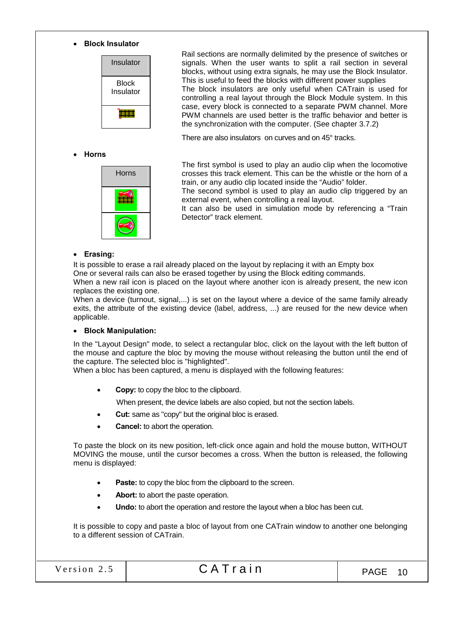#### Block Insulator



# Horns



Rail sections are normally delimited by the presence of switches or signals. When the user wants to split a rail section in several blocks, without using extra signals, he may use the Block Insulator. This is useful to feed the blocks with different power supplies The block insulators are only useful when CATrain is used for controlling a real layout through the Block Module system. In this case, every block is connected to a separate PWM channel. More PWM channels are used better is the traffic behavior and better is the synchronization with the computer. (See chapter 3.7.2)

There are also insulators on curves and on 45° tracks.

The first symbol is used to play an audio clip when the locomotive crosses this track element. This can be the whistle or the horn of a train, or any audio clip located inside the "Audio" folder.

The second symbol is used to play an audio clip triggered by an external event, when controlling a real layout.

It can also be used in simulation mode by referencing a "Train Detector" track element.

#### Erasing:

It is possible to erase a rail already placed on the layout by replacing it with an Empty box One or several rails can also be erased together by using the Block editing commands.

When a new rail icon is placed on the layout where another icon is already present, the new icon replaces the existing one.

When a device (turnout, signal,...) is set on the layout where a device of the same family already exits, the attribute of the existing device (label, address, ...) are reused for the new device when applicable.

#### Block Manipulation:

In the "Layout Design" mode, to select a rectangular bloc, click on the layout with the left button of the mouse and capture the bloc by moving the mouse without releasing the button until the end of the capture. The selected bloc is "highlighted".

When a bloc has been captured, a menu is displayed with the following features:

Copy: to copy the bloc to the clipboard.

When present, the device labels are also copied, but not the section labels.

- Cut: same as "copy" but the original bloc is erased.
- Cancel: to abort the operation.

To paste the block on its new position, left-click once again and hold the mouse button, WITHOUT MOVING the mouse, until the cursor becomes a cross. When the button is released, the following menu is displayed:

- Paste: to copy the bloc from the clipboard to the screen.
- Abort: to abort the paste operation.
- Undo: to abort the operation and restore the layout when a bloc has been cut.

It is possible to copy and paste a bloc of layout from one CATrain window to another one belonging to a different session of CATrain.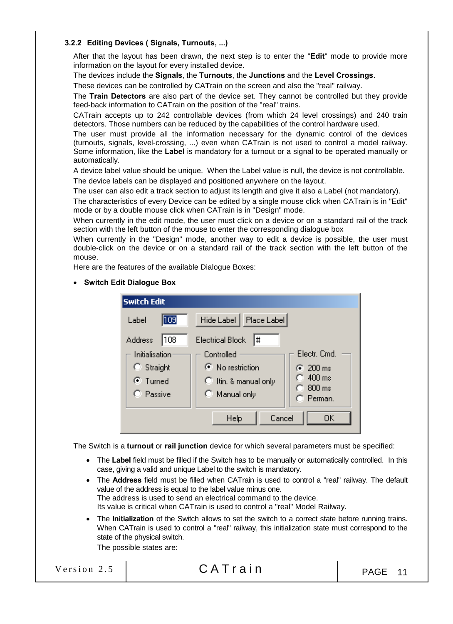# 3.2.2 Editing Devices ( Signals, Turnouts, ...)

After that the layout has been drawn, the next step is to enter the "Edit" mode to provide more information on the layout for every installed device.

The devices include the Signals, the Turnouts, the Junctions and the Level Crossings.

These devices can be controlled by CATrain on the screen and also the "real" railway.

The Train Detectors are also part of the device set. They cannot be controlled but they provide feed-back information to CATrain on the position of the "real" trains.

CATrain accepts up to 242 controllable devices (from which 24 level crossings) and 240 train detectors. Those numbers can be reduced by the capabilities of the control hardware used.

The user must provide all the information necessary for the dynamic control of the devices (turnouts, signals, level-crossing, ...) even when CATrain is not used to control a model railway. Some information, like the Label is mandatory for a turnout or a signal to be operated manually or automatically.

A device label value should be unique. When the Label value is null, the device is not controllable. The device labels can be displayed and positioned anywhere on the layout.

The user can also edit a track section to adjust its length and give it also a Label (not mandatory).

The characteristics of every Device can be edited by a single mouse click when CATrain is in "Edit" mode or by a double mouse click when CATrain is in "Design" mode.

When currently in the edit mode, the user must click on a device or on a standard rail of the track section with the left button of the mouse to enter the corresponding dialogue box

When currently in the "Design" mode, another way to edit a device is possible, the user must double-click on the device or on a standard rail of the track section with the left button of the mouse.

Here are the features of the available Dialogue Boxes:

• Switch Edit Dialogue Box

| <b>Switch Edit</b>    |                               |                             |
|-----------------------|-------------------------------|-----------------------------|
| $\sqrt{109}$<br>Label | Hide Label<br>Place Label     |                             |
| 108<br>Address        | ∥#<br><b>Electrical Block</b> |                             |
| Initialisation        | Controlled                    | Electr. Cmd.                |
| $\heartsuit$ Straight | ◯ No restriction              | $\binom{200}{200}$ ms       |
| $\odot$ Turned        | C Itin. & manual only         | $400 \text{ ms}$            |
| C Passive             | C Manual only                 | $800 \text{ ms}$<br>Perman. |
|                       |                               |                             |
|                       | Cancel<br>Help                | OΚ                          |

The Switch is a turnout or rail junction device for which several parameters must be specified:

- The Label field must be filled if the Switch has to be manually or automatically controlled. In this case, giving a valid and unique Label to the switch is mandatory.
- The **Address** field must be filled when CATrain is used to control a "real" railway. The default value of the address is equal to the label value minus one. The address is used to send an electrical command to the device. Its value is critical when CATrain is used to control a "real" Model Railway.
- The Initialization of the Switch allows to set the switch to a correct state before running trains. When CATrain is used to control a "real" railway, this initialization state must correspond to the state of the physical switch.

The possible states are:

Version 2.5  $\begin{array}{|c|c|c|c|c|c|c|c|c|}\n\hline\n\text{Version 2.5} & \text{CATTain} & \text{PAGE 11}\n\hline\n\end{array}$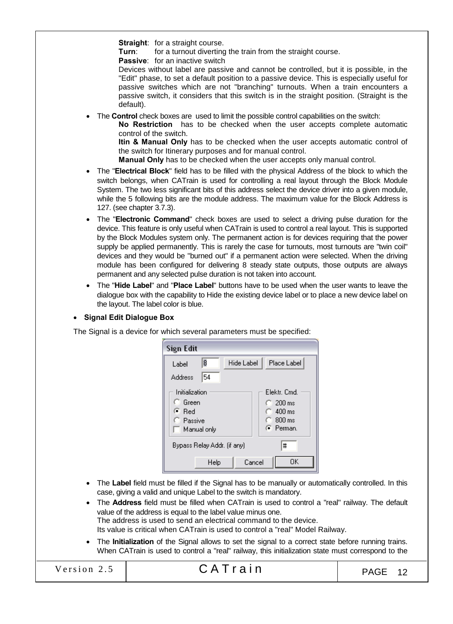Straight: for a straight course.

**Turn:** for a turnout diverting the train from the straight course.

Passive: for an inactive switch

Devices without label are passive and cannot be controlled, but it is possible, in the "Edit" phase, to set a default position to a passive device. This is especially useful for passive switches which are not "branching" turnouts. When a train encounters a passive switch, it considers that this switch is in the straight position. (Straight is the default).

The **Control** check boxes are used to limit the possible control capabilities on the switch:

No Restriction has to be checked when the user accepts complete automatic control of the switch.

Itin & Manual Only has to be checked when the user accepts automatic control of the switch for Itinerary purposes and for manual control.

Manual Only has to be checked when the user accepts only manual control.

- The "Electrical Block" field has to be filled with the physical Address of the block to which the switch belongs, when CATrain is used for controlling a real layout through the Block Module System. The two less significant bits of this address select the device driver into a given module, while the 5 following bits are the module address. The maximum value for the Block Address is 127. (see chapter 3.7.3).
- The "Electronic Command" check boxes are used to select a driving pulse duration for the device. This feature is only useful when CATrain is used to control a real layout. This is supported by the Block Modules system only. The permanent action is for devices requiring that the power supply be applied permanently. This is rarely the case for turnouts, most turnouts are "twin coil" devices and they would be "burned out" if a permanent action were selected. When the driving module has been configured for delivering 8 steady state outputs, those outputs are always permanent and any selected pulse duration is not taken into account.
- The "Hide Label" and "Place Label" buttons have to be used when the user wants to leave the dialogue box with the capability to Hide the existing device label or to place a new device label on the layout. The label color is blue.
- Signal Edit Dialogue Box

The Signal is a device for which several parameters must be specified:

| Sign Edit        |                             |            |                    |
|------------------|-----------------------------|------------|--------------------|
| Label            | 18                          | Hide Label | Place Label        |
| Address          | 54                          |            |                    |
| Initialization   |                             |            | Elektr. Cmd.       |
| <b>C</b> Green   |                             |            | $C_{\perp}$ 200 ms |
| ে Red            |                             |            | $\cap$ 400 ms      |
| <b>C</b> Passive |                             |            | $\bigcap$ 800 ms   |
|                  | Manual only                 |            | G Perman           |
|                  | Bypass Relay Addr. (if any) |            | #                  |
|                  | Help                        | Cancel     | OΚ                 |

• The Label field must be filled if the Signal has to be manually or automatically controlled. In this case, giving a valid and unique Label to the switch is mandatory.

• The Address field must be filled when CATrain is used to control a "real" railway. The default value of the address is equal to the label value minus one. The address is used to send an electrical command to the device. Its value is critical when CATrain is used to control a "real" Model Railway.

The Initialization of the Signal allows to set the signal to a correct state before running trains. When CATrain is used to control a "real" railway, this initialization state must correspond to the

Version 2.5  $\begin{array}{|c|c|c|c|c|c|c|c|c|}\n\hline\n\text{Version 2.5} & \text{CATTain} & \text{PAGE 12}\n\hline\n\end{array}$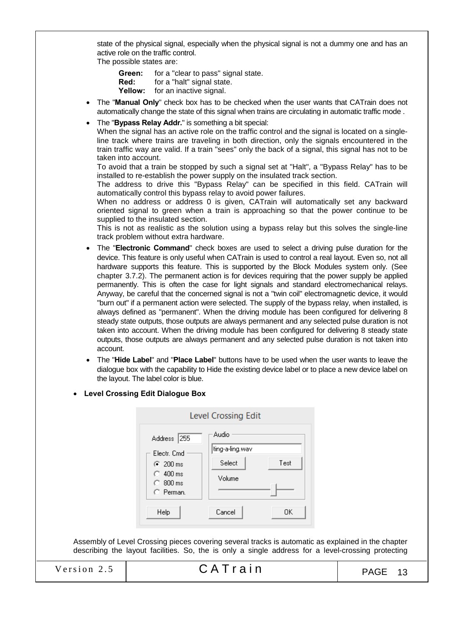state of the physical signal, especially when the physical signal is not a dummy one and has an active role on the traffic control.

The possible states are:

Green: for a "clear to pass" signal state.<br>Red: for a "halt" signal state.

- for a "halt" signal state.
- Yellow: for an inactive signal.
- The "Manual Only" check box has to be checked when the user wants that CATrain does not automatically change the state of this signal when trains are circulating in automatic traffic mode .
- The "Bypass Relay Addr." is something a bit special:

When the signal has an active role on the traffic control and the signal is located on a singleline track where trains are traveling in both direction, only the signals encountered in the train traffic way are valid. If a train "sees" only the back of a signal, this signal has not to be taken into account.

To avoid that a train be stopped by such a signal set at "Halt", a "Bypass Relay" has to be installed to re-establish the power supply on the insulated track section.

The address to drive this "Bypass Relay" can be specified in this field. CATrain will automatically control this bypass relay to avoid power failures.

When no address or address 0 is given, CATrain will automatically set any backward oriented signal to green when a train is approaching so that the power continue to be supplied to the insulated section.

This is not as realistic as the solution using a bypass relay but this solves the single-line track problem without extra hardware.

- The "Electronic Command" check boxes are used to select a driving pulse duration for the device. This feature is only useful when CATrain is used to control a real layout. Even so, not all hardware supports this feature. This is supported by the Block Modules system only. (See chapter 3.7.2). The permanent action is for devices requiring that the power supply be applied permanently. This is often the case for light signals and standard electromechanical relays. Anyway, be careful that the concerned signal is not a "twin coil" electromagnetic device, it would "burn out" if a permanent action were selected. The supply of the bypass relay, when installed, is always defined as "permanent". When the driving module has been configured for delivering 8 steady state outputs, those outputs are always permanent and any selected pulse duration is not taken into account. When the driving module has been configured for delivering 8 steady state outputs, those outputs are always permanent and any selected pulse duration is not taken into account.
- The "Hide Label" and "Place Label" buttons have to be used when the user wants to leave the dialogue box with the capability to Hide the existing device label or to place a new device label on the layout. The label color is blue.
- Level Crossing Edit Dialogue Box



Assembly of Level Crossing pieces covering several tracks is automatic as explained in the chapter describing the layout facilities. So, the is only a single address for a level-crossing protecting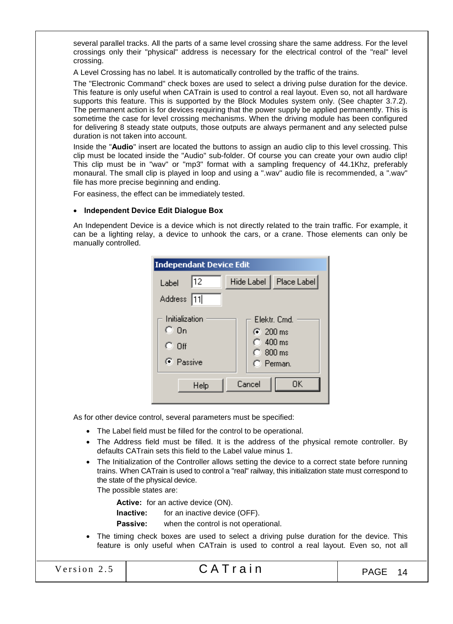several parallel tracks. All the parts of a same level crossing share the same address. For the level crossings only their "physical" address is necessary for the electrical control of the "real" level crossing.

A Level Crossing has no label. It is automatically controlled by the traffic of the trains.

The "Electronic Command" check boxes are used to select a driving pulse duration for the device. This feature is only useful when CATrain is used to control a real layout. Even so, not all hardware supports this feature. This is supported by the Block Modules system only. (See chapter 3.7.2). The permanent action is for devices requiring that the power supply be applied permanently. This is sometime the case for level crossing mechanisms. When the driving module has been configured for delivering 8 steady state outputs, those outputs are always permanent and any selected pulse duration is not taken into account.

Inside the "Audio" insert are located the buttons to assign an audio clip to this level crossing. This clip must be located inside the "Audio" sub-folder. Of course you can create your own audio clip! This clip must be in "wav" or "mp3" format with a sampling frequency of 44.1Khz, preferably monaural. The small clip is played in loop and using a ".wav" audio file is recommended, a ".wav" file has more precise beginning and ending.

For easiness, the effect can be immediately tested.

# • Independent Device Edit Dialogue Box

An Independent Device is a device which is not directly related to the train traffic. For example, it can be a lighting relay, a device to unhook the cars, or a crane. Those elements can only be manually controlled.

| <b>Independant Device Edit</b>                           |                                                                                       |
|----------------------------------------------------------|---------------------------------------------------------------------------------------|
| 12<br>Label<br>Address 11                                | Hide Label   Place Label                                                              |
| Initialization<br>$C_0$ On<br>$\degree$ Off<br>C Passive | Elektr, Cmd.<br>$\binom{200}{200}$ ms<br>$\bigcirc$ 400 ms<br>$C.800$ ms<br>C Perman. |
| Help                                                     | Cancel<br>ΟK                                                                          |

As for other device control, several parameters must be specified:

- The Label field must be filled for the control to be operational.
- The Address field must be filled. It is the address of the physical remote controller. By defaults CATrain sets this field to the Label value minus 1.
- The Initialization of the Controller allows setting the device to a correct state before running trains. When CATrain is used to control a "real" railway, this initialization state must correspond to the state of the physical device.

The possible states are:

Active: for an active device (ON).

**Inactive:** for an inactive device (OFF).

Passive: when the control is not operational.

 The timing check boxes are used to select a driving pulse duration for the device. This feature is only useful when CATrain is used to control a real layout. Even so, not all

| Version 2.5 |  |
|-------------|--|
|-------------|--|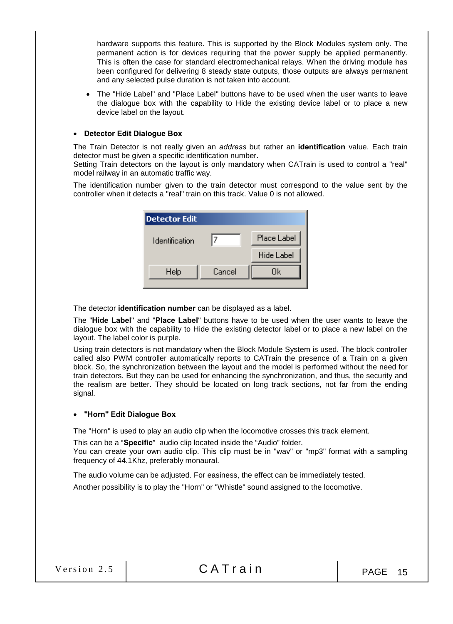hardware supports this feature. This is supported by the Block Modules system only. The permanent action is for devices requiring that the power supply be applied permanently. This is often the case for standard electromechanical relays. When the driving module has been configured for delivering 8 steady state outputs, those outputs are always permanent and any selected pulse duration is not taken into account.

 The "Hide Label" and "Place Label" buttons have to be used when the user wants to leave the dialogue box with the capability to Hide the existing device label or to place a new device label on the layout.

# Detector Edit Dialogue Box

The Train Detector is not really given an *address* but rather an identification value. Each train detector must be given a specific identification number.

Setting Train detectors on the layout is only mandatory when CATrain is used to control a "real" model railway in an automatic traffic way.

The identification number given to the train detector must correspond to the value sent by the controller when it detects a "real" train on this track. Value 0 is not allowed.

| <b>Detector Edit</b> |        |                   |
|----------------------|--------|-------------------|
| Identification       |        | Place Label       |
|                      |        | <b>Hide Label</b> |
| Help                 | Cancel | Ūk                |
|                      |        |                   |

The detector identification number can be displayed as a label.

The "Hide Label" and "Place Label" buttons have to be used when the user wants to leave the dialogue box with the capability to Hide the existing detector label or to place a new label on the layout. The label color is purple.

Using train detectors is not mandatory when the Block Module System is used. The block controller called also PWM controller automatically reports to CATrain the presence of a Train on a given block. So, the synchronization between the layout and the model is performed without the need for train detectors. But they can be used for enhancing the synchronization, and thus, the security and the realism are better. They should be located on long track sections, not far from the ending signal.

#### "Horn" Edit Dialogue Box

The "Horn" is used to play an audio clip when the locomotive crosses this track element.

This can be a "Specific" audio clip located inside the "Audio" folder. You can create your own audio clip. This clip must be in "wav" or "mp3" format with a sampling frequency of 44.1Khz, preferably monaural.

The audio volume can be adjusted. For easiness, the effect can be immediately tested.

Another possibility is to play the "Horn" or "Whistle" sound assigned to the locomotive.

|  | Version 2.5 |  |
|--|-------------|--|
|  |             |  |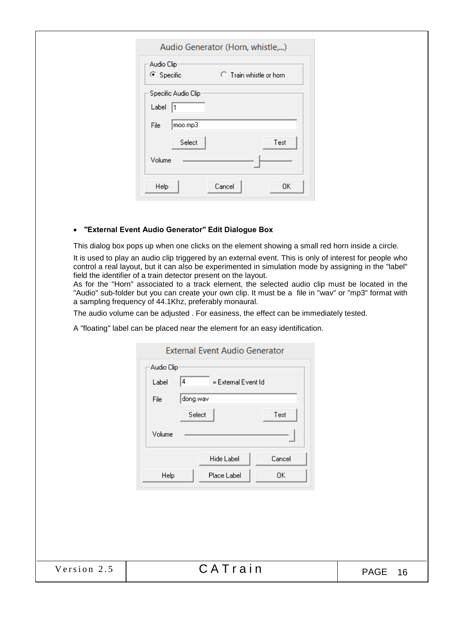| Audio Clip                         |                         |
|------------------------------------|-------------------------|
| C Specific                         | C Train whistle or horn |
| Specific Audio Clip<br>Label<br>11 |                         |
|                                    |                         |
| moo.mp3<br>File                    |                         |
| Select                             | Test                    |
| Volume                             |                         |

# "External Event Audio Generator" Edit Dialogue Box

This dialog box pops up when one clicks on the element showing a small red horn inside a circle.

It is used to play an audio clip triggered by an external event. This is only of interest for people who control a real layout, but it can also be experimented in simulation mode by assigning in the "label" field the identifier of a train detector present on the layout.

As for the "Horn" associated to a track element, the selected audio clip must be located in the "Audio" sub-folder but you can create your own clip. It must be a file in "wav" or "mp3" format with a sampling frequency of 44.1Khz, preferably monaural.

The audio volume can be adjusted . For easiness, the effect can be immediately tested.

A "floating" label can be placed near the element for an easy identification.

|             | <b>External Event Audio Generator</b>                                                                                                                 |                   |
|-------------|-------------------------------------------------------------------------------------------------------------------------------------------------------|-------------------|
|             | Audio Clip<br> 4<br>= External Event Id<br>Label<br>dong.wav<br>File<br>Select<br>Test<br>Volume<br>Hide Label<br>Cancel<br>Place Label<br>0K<br>Help |                   |
| Version 2.5 | CATrain                                                                                                                                               | <b>PAGE</b><br>16 |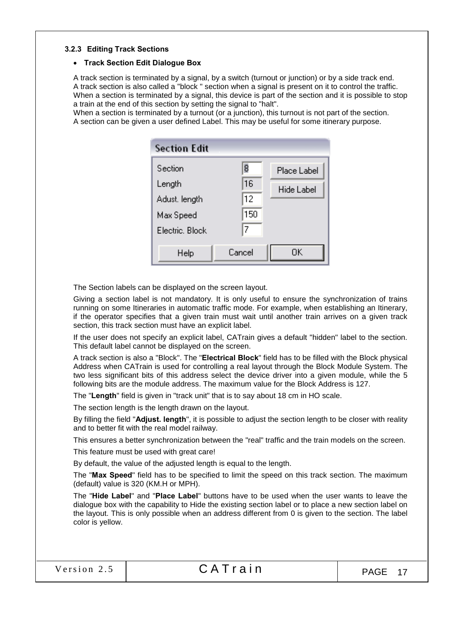#### 3.2.3 Editing Track Sections

# Track Section Edit Dialogue Box

A track section is terminated by a signal, by a switch (turnout or junction) or by a side track end. A track section is also called a "block " section when a signal is present on it to control the traffic. When a section is terminated by a signal, this device is part of the section and it is possible to stop a train at the end of this section by setting the signal to "halt".

When a section is terminated by a turnout (or a junction), this turnout is not part of the section. A section can be given a user defined Label. This may be useful for some itinerary purpose.

| <b>Section Edit</b>                                                |                           |                           |
|--------------------------------------------------------------------|---------------------------|---------------------------|
| Section<br>Length<br>Adust, length<br>Max Speed<br>Electric, Block | 8<br>16<br>12<br>150<br>7 | Place Label<br>Hide Label |
| Help                                                               | Cancel                    | OΚ                        |

The Section labels can be displayed on the screen layout.

Giving a section label is not mandatory. It is only useful to ensure the synchronization of trains running on some Itineraries in automatic traffic mode. For example, when establishing an Itinerary, if the operator specifies that a given train must wait until another train arrives on a given track section, this track section must have an explicit label.

If the user does not specify an explicit label, CATrain gives a default "hidden" label to the section. This default label cannot be displayed on the screen.

A track section is also a "Block". The "Electrical Block" field has to be filled with the Block physical Address when CATrain is used for controlling a real layout through the Block Module System. The two less significant bits of this address select the device driver into a given module, while the 5 following bits are the module address. The maximum value for the Block Address is 127.

The "Length" field is given in "track unit" that is to say about 18 cm in HO scale.

The section length is the length drawn on the layout.

By filling the field "Adjust. length", it is possible to adjust the section length to be closer with reality and to better fit with the real model railway.

This ensures a better synchronization between the "real" traffic and the train models on the screen.

This feature must be used with great care!

By default, the value of the adjusted length is equal to the length.

The "Max Speed" field has to be specified to limit the speed on this track section. The maximum (default) value is 320 (KM.H or MPH).

The "Hide Label" and "Place Label" buttons have to be used when the user wants to leave the dialogue box with the capability to Hide the existing section label or to place a new section label on the layout. This is only possible when an address different from 0 is given to the section. The label color is yellow.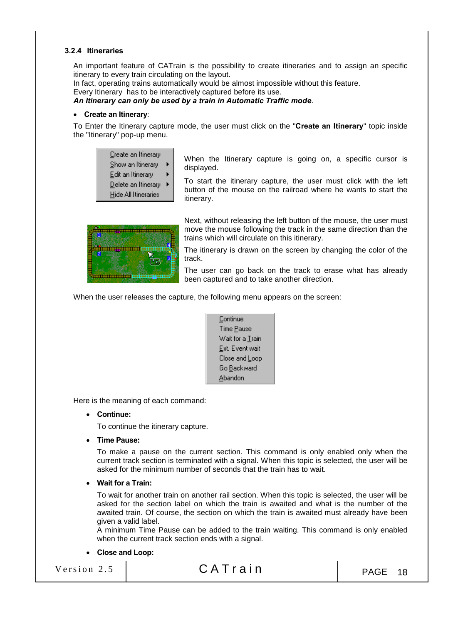#### 3.2.4 Itineraries

An important feature of CATrain is the possibility to create itineraries and to assign an specific itinerary to every train circulating on the layout.

In fact, operating trains automatically would be almost impossible without this feature.

Every Itinerary has to be interactively captured before its use.

*An Itinerary can only be used by a train in Automatic Traffic mode*.

#### • Create an Itinerary:

To Enter the Itinerary capture mode, the user must click on the "Create an Itinerary" topic inside the "Itinerary" pop-up menu.

| Create an Itinerary         |   |
|-----------------------------|---|
| Show an Itinerary           | Þ |
| Edit an Itinerary           | Þ |
| <u>D</u> elete an Itinerary | ۱ |
| Hide All Itineraries        |   |

When the Itinerary capture is going on, a specific cursor is displayed.

To start the itinerary capture, the user must click with the left button of the mouse on the railroad where he wants to start the itinerary.



Next, without releasing the left button of the mouse, the user must move the mouse following the track in the same direction than the trains which will circulate on this itinerary.

The itinerary is drawn on the screen by changing the color of the track.

The user can go back on the track to erase what has already been captured and to take another direction.

When the user releases the capture, the following menu appears on the screen:

| Continue                 |
|--------------------------|
| Time <u>P</u> ause       |
| Wait for a <u>T</u> rain |
| <u>E</u> xt. Event wait  |
| Close and Loop           |
| Go <u>B</u> ackward      |
| Abandon                  |

Here is the meaning of each command:

#### Continue:

To continue the itinerary capture.

• Time Pause:

To make a pause on the current section. This command is only enabled only when the current track section is terminated with a signal. When this topic is selected, the user will be asked for the minimum number of seconds that the train has to wait.

#### Wait for a Train:

To wait for another train on another rail section. When this topic is selected, the user will be asked for the section label on which the train is awaited and what is the number of the awaited train. Of course, the section on which the train is awaited must already have been given a valid label.

A minimum Time Pause can be added to the train waiting. This command is only enabled when the current track section ends with a signal.

#### Close and Loop:

Version 2.5  $\begin{array}{|c|c|c|c|c|c|c|c|c|}\n\hline\n\text{Version 2.5} & \text{CATTain} & \text{PAGE 18}\n\end{array}$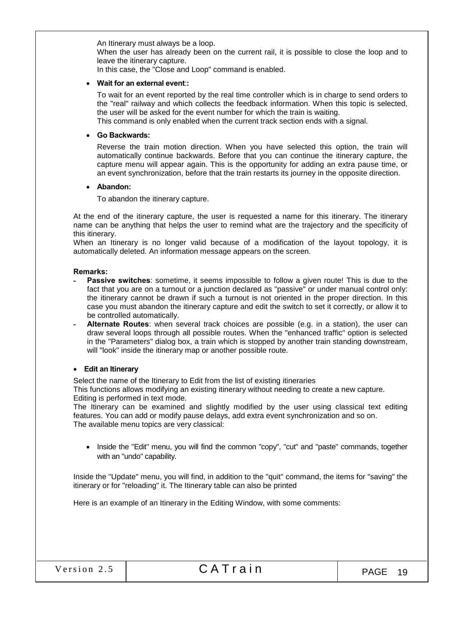An Itinerary must always be a loop.

When the user has already been on the current rail, it is possible to close the loop and to leave the itinerary capture.

In this case, the "Close and Loop" command is enabled.

#### Wait for an external event::

To wait for an event reported by the real time controller which is in charge to send orders to the "real" railway and which collects the feedback information. When this topic is selected, the user will be asked for the event number for which the train is waiting. This command is only enabled when the current track section ends with a signal.

#### Go Backwards:

Reverse the train motion direction. When you have selected this option, the train will automatically continue backwards. Before that you can continue the itinerary capture, the capture menu will appear again. This is the opportunity for adding an extra pause time, or an event synchronization, before that the train restarts its journey in the opposite direction.

#### Abandon:

To abandon the itinerary capture.

At the end of the itinerary capture, the user is requested a name for this itinerary. The itinerary name can be anything that helps the user to remind what are the trajectory and the specificity of this itinerary.

When an Itinerary is no longer valid because of a modification of the layout topology, it is automatically deleted. An information message appears on the screen.

#### Remarks:

- Passive switches: sometime, it seems impossible to follow a given route! This is due to the fact that you are on a turnout or a junction declared as "passive" or under manual control only: the itinerary cannot be drawn if such a turnout is not oriented in the proper direction. In this case you must abandon the itinerary capture and edit the switch to set it correctly, or allow it to be controlled automatically.
- Alternate Routes: when several track choices are possible (e.g. in a station), the user can draw several loops through all possible routes. When the "enhanced traffic" option is selected in the "Parameters" dialog box, a train which is stopped by another train standing downstream, will "look" inside the itinerary map or another possible route.

#### Edit an Itinerary

Select the name of the Itinerary to Edit from the list of existing itineraries

This functions allows modifying an existing itinerary without needing to create a new capture. Editing is performed in text mode.

The Itinerary can be examined and slightly modified by the user using classical text editing features. You can add or modify pause delays, add extra event synchronization and so on. The available menu topics are very classical:

• Inside the "Edit" menu, you will find the common "copy", "cut" and "paste" commands, together with an "undo" capability.

Inside the "Update" menu, you will find, in addition to the "quit" command, the items for "saving" the itinerary or for "reloading" it. The Itinerary table can also be printed

Here is an example of an Itinerary in the Editing Window, with some comments: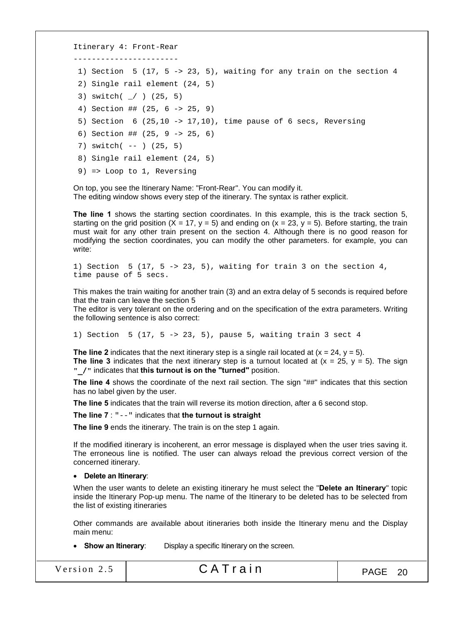```
Itinerary 4: Front-Rear
 -----------------------
1) Section 5 (17, 5 -> 23, 5), waiting for any train on the section 4
 2) Single rail element (24, 5)
 3) switch( _/ ) (25, 5)
 4) Section ## (25, 6 -> 25, 9)
 5) Section 6 (25,10 -> 17,10), time pause of 6 secs, Reversing 
 6) Section ## (25, 9 -> 25, 6)
 7) switch( -- ) (25, 5)
 8) Single rail element (24, 5)
 9) => Loop to 1, Reversing
```
On top, you see the Itinerary Name: "Front-Rear". You can modify it. The editing window shows every step of the itinerary. The syntax is rather explicit.

The line 1 shows the starting section coordinates. In this example, this is the track section 5, starting on the grid position  $(X = 17, y = 5)$  and ending on  $(x = 23, y = 5)$ . Before starting, the train must wait for any other train present on the section 4. Although there is no good reason for modifying the section coordinates, you can modify the other parameters. for example, you can write:

1) Section 5 (17, 5 -> 23, 5), waiting for train 3 on the section 4, time pause of 5 secs.

This makes the train waiting for another train (3) and an extra delay of 5 seconds is required before that the train can leave the section 5

The editor is very tolerant on the ordering and on the specification of the extra parameters. Writing the following sentence is also correct:

1) Section 5 (17, 5 -> 23, 5), pause 5, waiting train 3 sect 4

The line 2 indicates that the next itinerary step is a single rail located at  $(x = 24, y = 5)$ . The line 3 indicates that the next itinerary step is a turnout located at  $(x = 25, y = 5)$ . The sign "\_/" indicates that this turnout is on the "turned" position.

The line 4 shows the coordinate of the next rail section. The sign "##" indicates that this section has no label given by the user.

The line 5 indicates that the train will reverse its motion direction, after a 6 second stop.

The line 7 : "--" indicates that the turnout is straight

The line 9 ends the itinerary. The train is on the step 1 again.

If the modified itinerary is incoherent, an error message is displayed when the user tries saving it. The erroneous line is notified. The user can always reload the previous correct version of the concerned itinerary.

Delete an Itinerary:

When the user wants to delete an existing itinerary he must select the "Delete an Itinerary" topic inside the Itinerary Pop-up menu. The name of the Itinerary to be deleted has to be selected from the list of existing itineraries

Other commands are available about itineraries both inside the Itinerary menu and the Display main menu:

• Show an Itinerary: Display a specific Itinerary on the screen.

| Version 2.5 | CATrain | PAGE 20 |
|-------------|---------|---------|
|-------------|---------|---------|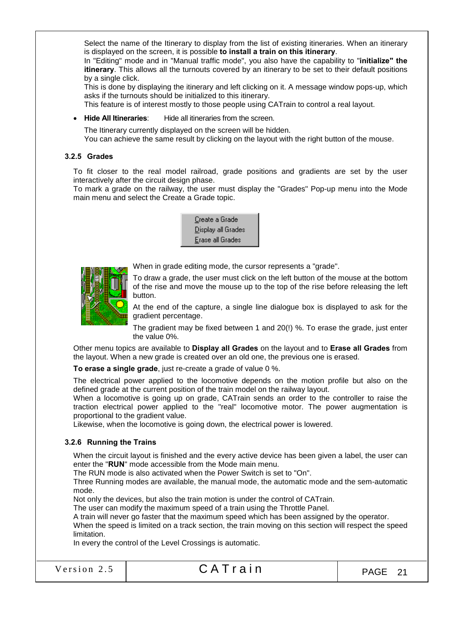Select the name of the Itinerary to display from the list of existing itineraries. When an itinerary is displayed on the screen, it is possible to install a train on this itinerary.

In "Editing" mode and in "Manual traffic mode", you also have the capability to "initialize" the itinerary. This allows all the turnouts covered by an itinerary to be set to their default positions by a single click.

This is done by displaying the itinerary and left clicking on it. A message window pops-up, which asks if the turnouts should be initialized to this itinerary.

This feature is of interest mostly to those people using CATrain to control a real layout.

• Hide All Itineraries: Hide all itineraries from the screen.

The Itinerary currently displayed on the screen will be hidden. You can achieve the same result by clicking on the layout with the right button of the mouse.

#### 3.2.5 Grades

To fit closer to the real model railroad, grade positions and gradients are set by the user interactively after the circuit design phase.

To mark a grade on the railway, the user must display the "Grades" Pop-up menu into the Mode main menu and select the Create a Grade topic.





When in grade editing mode, the cursor represents a "grade".

To draw a grade, the user must click on the left button of the mouse at the bottom of the rise and move the mouse up to the top of the rise before releasing the left button.

At the end of the capture, a single line dialogue box is displayed to ask for the gradient percentage.

The gradient may be fixed between 1 and 20(!) %. To erase the grade, just enter the value 0%.

Other menu topics are available to Display all Grades on the layout and to Erase all Grades from the layout. When a new grade is created over an old one, the previous one is erased.

To erase a single grade, just re-create a grade of value 0 %.

The electrical power applied to the locomotive depends on the motion profile but also on the defined grade at the current position of the train model on the railway layout.

When a locomotive is going up on grade, CATrain sends an order to the controller to raise the traction electrical power applied to the "real" locomotive motor. The power augmentation is proportional to the gradient value.

Likewise, when the locomotive is going down, the electrical power is lowered.

#### 3.2.6 Running the Trains

When the circuit layout is finished and the every active device has been given a label, the user can enter the "RUN" mode accessible from the Mode main menu.

The RUN mode is also activated when the Power Switch is set to "On".

Three Running modes are available, the manual mode, the automatic mode and the sem-automatic mode.

Not only the devices, but also the train motion is under the control of CATrain.

The user can modify the maximum speed of a train using the Throttle Panel.

A train will never go faster that the maximum speed which has been assigned by the operator.

When the speed is limited on a track section, the train moving on this section will respect the speed limitation.

In every the control of the Level Crossings is automatic.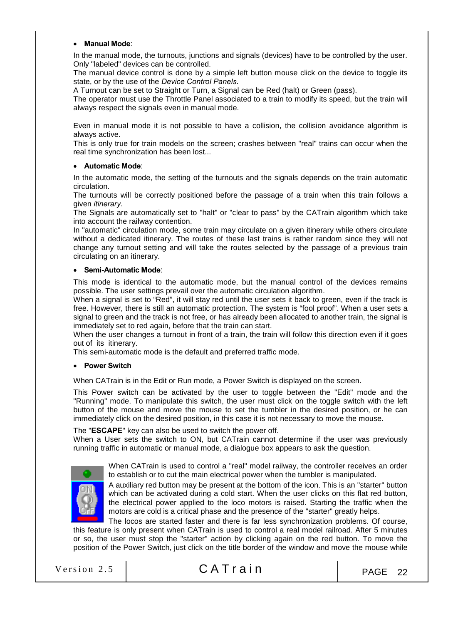#### • Manual Mode:

In the manual mode, the turnouts, junctions and signals (devices) have to be controlled by the user. Only "labeled" devices can be controlled.

The manual device control is done by a simple left button mouse click on the device to toggle its state, or by the use of the *Device Control Panels*.

A Turnout can be set to Straight or Turn, a Signal can be Red (halt) or Green (pass).

The operator must use the Throttle Panel associated to a train to modify its speed, but the train will always respect the signals even in manual mode.

Even in manual mode it is not possible to have a collision, the collision avoidance algorithm is always active.

This is only true for train models on the screen; crashes between "real" trains can occur when the real time synchronization has been lost...

#### Automatic Mode:

In the automatic mode, the setting of the turnouts and the signals depends on the train automatic circulation.

The turnouts will be correctly positioned before the passage of a train when this train follows a given *itinerary*.

The Signals are automatically set to "halt" or "clear to pass" by the CATrain algorithm which take into account the railway contention.

In "automatic" circulation mode, some train may circulate on a given itinerary while others circulate without a dedicated itinerary. The routes of these last trains is rather random since they will not change any turnout setting and will take the routes selected by the passage of a previous train circulating on an itinerary.

#### Semi-Automatic Mode:

This mode is identical to the automatic mode, but the manual control of the devices remains possible. The user settings prevail over the automatic circulation algorithm.

When a signal is set to "Red", it will stay red until the user sets it back to green, even if the track is free. However, there is still an automatic protection. The system is "fool proof". When a user sets a signal to green and the track is not free, or has already been allocated to another train, the signal is immediately set to red again, before that the train can start.

When the user changes a turnout in front of a train, the train will follow this direction even if it goes out of its itinerary.

This semi-automatic mode is the default and preferred traffic mode.

#### • Power Switch

When CATrain is in the Edit or Run mode, a Power Switch is displayed on the screen.

This Power switch can be activated by the user to toggle between the "Edit" mode and the "Running" mode. To manipulate this switch, the user must click on the toggle switch with the left button of the mouse and move the mouse to set the tumbler in the desired position, or he can immediately click on the desired position, in this case it is not necessary to move the mouse.

The "ESCAPE" key can also be used to switch the power off.

When a User sets the switch to ON, but CATrain cannot determine if the user was previously running traffic in automatic or manual mode, a dialogue box appears to ask the question.



When CATrain is used to control a "real" model railway, the controller receives an order to establish or to cut the main electrical power when the tumbler is manipulated.

A auxiliary red button may be present at the bottom of the icon. This is an "starter" button which can be activated during a cold start. When the user clicks on this flat red button, the electrical power applied to the loco motors is raised. Starting the traffic when the motors are cold is a critical phase and the presence of the "starter" greatly helps.

The locos are started faster and there is far less synchronization problems. Of course, this feature is only present when CATrain is used to control a real model railroad. After 5 minutes or so, the user must stop the "starter" action by clicking again on the red button. To move the position of the Power Switch, just click on the title border of the window and move the mouse while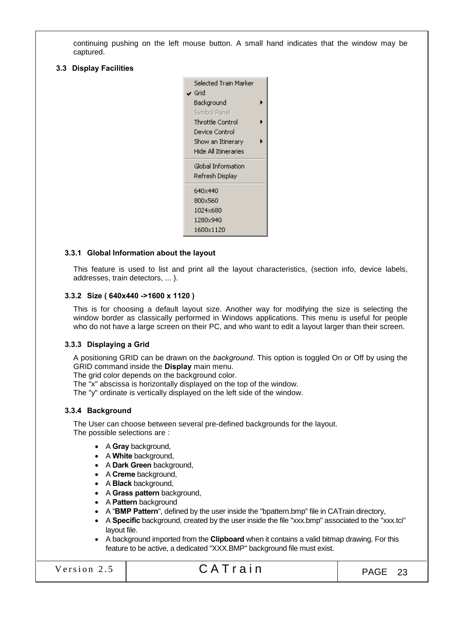continuing pushing on the left mouse button. A small hand indicates that the window may be captured.

#### 3.3 Display Facilities



# 3.3.1 Global Information about the layout

This feature is used to list and print all the layout characteristics, (section info, device labels, addresses, train detectors, ... ).

#### 3.3.2 Size ( 640x440 ->1600 x 1120 )

This is for choosing a default layout size. Another way for modifying the size is selecting the window border as classically performed in Windows applications. This menu is useful for people who do not have a large screen on their PC, and who want to edit a layout larger than their screen.

#### 3.3.3 Displaying a Grid

A positioning GRID can be drawn on the *background*. This option is toggled On or Off by using the GRID command inside the **Display** main menu.

The grid color depends on the background color.

The "x" abscissa is horizontally displayed on the top of the window.

The "y" ordinate is vertically displayed on the left side of the window.

#### 3.3.4 Background

The User can choose between several pre-defined backgrounds for the layout. The possible selections are :

- A Gray background,
- A White background,
- A Dark Green background,
- A Creme background.
- A Black background,
- A Grass pattern background,
- A Pattern background
- A "BMP Pattern", defined by the user inside the "bpattern.bmp" file in CATrain directory,
- A Specific background, created by the user inside the file "xxx.bmp" associated to the "xxx.tci" layout file.
- A background imported from the Clipboard when it contains a valid bitmap drawing. For this feature to be active, a dedicated "XXX.BMP" background file must exist.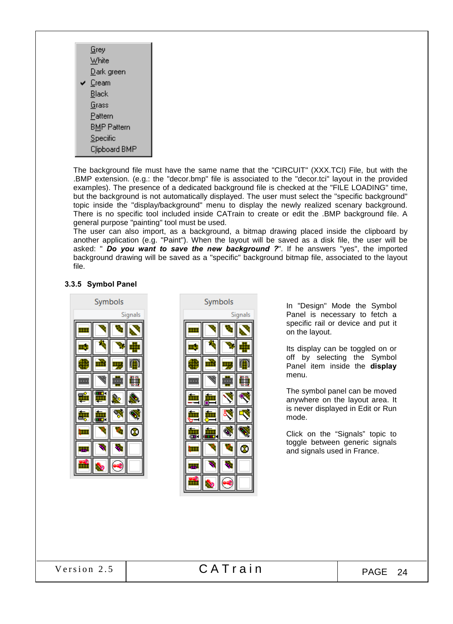|   | Grey               |
|---|--------------------|
|   | White              |
|   | <u>D</u> ark green |
| ✓ | Cream              |
|   | Black              |
|   | Grass              |
|   | Pattern            |
|   | <b>BMP Pattern</b> |
|   | Specific           |
|   | Clipboard BMP      |

The background file must have the same name that the "CIRCUIT" (XXX.TCI) File, but with the .BMP extension. (e.g.: the "decor.bmp" file is associated to the "decor.tci" layout in the provided examples). The presence of a dedicated background file is checked at the "FILE LOADING" time, but the background is not automatically displayed. The user must select the "specific background" topic inside the "display/background" menu to display the newly realized scenary background. There is no specific tool included inside CATrain to create or edit the .BMP background file. A general purpose "painting" tool must be used.

The user can also import, as a background, a bitmap drawing placed inside the clipboard by another application (e.g. "Paint"). When the layout will be saved as a disk file, the user will be asked: " *Do you want to save the new background ?*". If he answers "yes", the imported background drawing will be saved as a "specific" background bitmap file, associated to the layout file.

# 3.3.5 Symbol Panel



|  | Symbols |         |
|--|---------|---------|
|  |         | Signals |
|  |         |         |
|  |         |         |
|  |         |         |
|  |         |         |
|  |         |         |
|  |         |         |
|  | Ć       |         |
|  |         |         |
|  |         |         |
|  | O       |         |

In "Design" Mode the Symbol Panel is necessary to fetch a specific rail or device and put it on the layout.

Its display can be toggled on or off by selecting the Symbol Panel item inside the display menu.

The symbol panel can be moved anywhere on the layout area. It is never displayed in Edit or Run mode.

Click on the "Signals" topic to toggle between generic signals and signals used in France.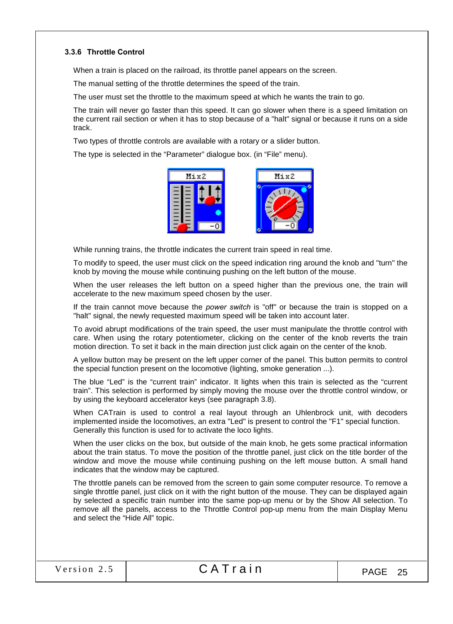# 3.3.6 Throttle Control

When a train is placed on the railroad, its throttle panel appears on the screen.

The manual setting of the throttle determines the speed of the train.

The user must set the throttle to the maximum speed at which he wants the train to go.

The train will never go faster than this speed. It can go slower when there is a speed limitation on the current rail section or when it has to stop because of a "halt" signal or because it runs on a side track.

Two types of throttle controls are available with a rotary or a slider button.

The type is selected in the "Parameter" dialogue box. (in "File" menu).



While running trains, the throttle indicates the current train speed in real time.

To modify to speed, the user must click on the speed indication ring around the knob and "turn" the knob by moving the mouse while continuing pushing on the left button of the mouse.

When the user releases the left button on a speed higher than the previous one, the train will accelerate to the new maximum speed chosen by the user.

If the train cannot move because the *power switch* is "off" or because the train is stopped on a "halt" signal, the newly requested maximum speed will be taken into account later.

To avoid abrupt modifications of the train speed, the user must manipulate the throttle control with care. When using the rotary potentiometer, clicking on the center of the knob reverts the train motion direction. To set it back in the main direction just click again on the center of the knob.

A yellow button may be present on the left upper corner of the panel. This button permits to control the special function present on the locomotive (lighting, smoke generation ...).

The blue "Led" is the "current train" indicator. It lights when this train is selected as the "current train". This selection is performed by simply moving the mouse over the throttle control window, or by using the keyboard accelerator keys (see paragraph 3.8).

When CATrain is used to control a real layout through an Uhlenbrock unit, with decoders implemented inside the locomotives, an extra "Led" is present to control the "F1" special function. Generally this function is used for to activate the loco lights.

When the user clicks on the box, but outside of the main knob, he gets some practical information about the train status. To move the position of the throttle panel, just click on the title border of the window and move the mouse while continuing pushing on the left mouse button. A small hand indicates that the window may be captured.

The throttle panels can be removed from the screen to gain some computer resource. To remove a single throttle panel, just click on it with the right button of the mouse. They can be displayed again by selected a specific train number into the same pop-up menu or by the Show All selection. To remove all the panels, access to the Throttle Control pop-up menu from the main Display Menu and select the "Hide All" topic.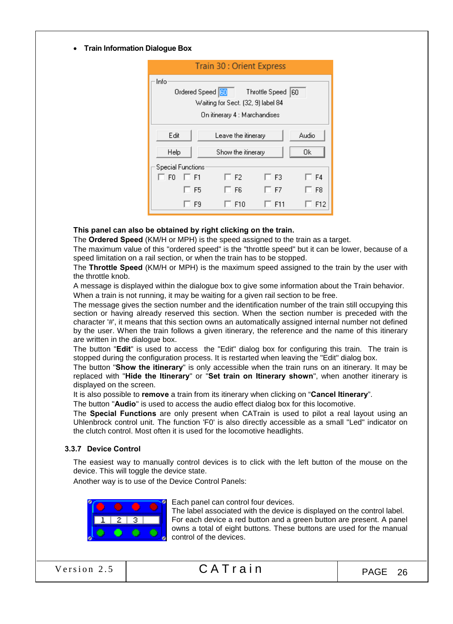• Train Information Dialogue Box

|                          | <b>Train 30: Orient Express</b>                                                                |                    |     |  |  |
|--------------------------|------------------------------------------------------------------------------------------------|--------------------|-----|--|--|
| Info                     | Ordered Speed <b>60</b><br>Waiting for Sect. (32, 9) label 84<br>On itinerary 4 : Marchandises | Throttle Speed  60 |     |  |  |
| Edit                     | Audio<br>Leave the itinerary                                                                   |                    |     |  |  |
| Help                     | 0k<br>Show the itinerary                                                                       |                    |     |  |  |
| <b>Special Functions</b> |                                                                                                |                    |     |  |  |
| F <sub>0</sub><br>IT F1  | $\sqsupset$ F2.                                                                                | 1 F3               | F4  |  |  |
| F <sub>5</sub>           | F6                                                                                             | □ F7               | F8  |  |  |
| F9                       | F <sub>10</sub>                                                                                | F11                | F12 |  |  |

# This panel can also be obtained by right clicking on the train.

The Ordered Speed (KM/H or MPH) is the speed assigned to the train as a target.

The maximum value of this "ordered speed" is the "throttle speed" but it can be lower, because of a speed limitation on a rail section, or when the train has to be stopped.

The Throttle Speed (KM/H or MPH) is the maximum speed assigned to the train by the user with the throttle knob.

A message is displayed within the dialogue box to give some information about the Train behavior. When a train is not running, it may be waiting for a given rail section to be free.

The message gives the section number and the identification number of the train still occupying this section or having already reserved this section. When the section number is preceded with the character '#', it means that this section owns an automatically assigned internal number not defined by the user. When the train follows a given itinerary, the reference and the name of this itinerary are written in the dialogue box.

The button "Edit" is used to access the "Edit" dialog box for configuring this train. The train is stopped during the configuration process. It is restarted when leaving the "Edit" dialog box.

The button "Show the itinerary" is only accessible when the train runs on an itinerary. It may be replaced with "Hide the Itinerary" or "Set train on Itinerary shown", when another itinerary is displayed on the screen.

It is also possible to remove a train from its itinerary when clicking on "Cancel Itinerary".

The button "Audio" is used to access the audio effect dialog box for this locomotive.

The Special Functions are only present when CATrain is used to pilot a real layout using an Uhlenbrock control unit. The function 'F0' is also directly accessible as a small "Led" indicator on the clutch control. Most often it is used for the locomotive headlights.

#### 3.3.7 Device Control

The easiest way to manually control devices is to click with the left button of the mouse on the device. This will toggle the device state.

Another way is to use of the Device Control Panels:



Each panel can control four devices.

The label associated with the device is displayed on the control label. For each device a red button and a green button are present. A panel owns a total of eight buttons. These buttons are used for the manual control of the devices.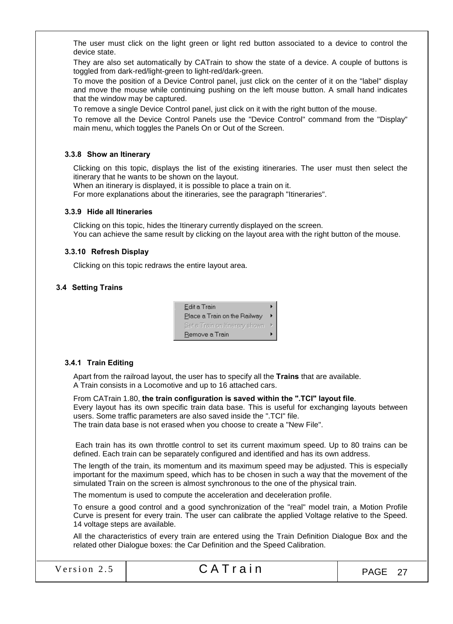The user must click on the light green or light red button associated to a device to control the device state.

They are also set automatically by CATrain to show the state of a device. A couple of buttons is toggled from dark-red/light-green to light-red/dark-green.

To move the position of a Device Control panel, just click on the center of it on the "label" display and move the mouse while continuing pushing on the left mouse button. A small hand indicates that the window may be captured.

To remove a single Device Control panel, just click on it with the right button of the mouse.

To remove all the Device Control Panels use the "Device Control" command from the "Display" main menu, which toggles the Panels On or Out of the Screen.

#### 3.3.8 Show an Itinerary

Clicking on this topic, displays the list of the existing itineraries. The user must then select the itinerary that he wants to be shown on the layout.

When an itinerary is displayed, it is possible to place a train on it.

For more explanations about the itineraries, see the paragraph "Itineraries".

#### 3.3.9 Hide all Itineraries

Clicking on this topic, hides the Itinerary currently displayed on the screen. You can achieve the same result by clicking on the layout area with the right button of the mouse.

# 3.3.10 Refresh Display

Clicking on this topic redraws the entire layout area.

#### 3.4 Setting Trains

| Edit a Train                   |  |
|--------------------------------|--|
| Place a Train on the Railway   |  |
| Set a Train on Itinerary shown |  |
| Remove a Train                 |  |

#### 3.4.1 Train Editing

Apart from the railroad layout, the user has to specify all the Trains that are available. A Train consists in a Locomotive and up to 16 attached cars.

From CATrain 1.80, the train configuration is saved within the ".TCI" layout file. Every layout has its own specific train data base. This is useful for exchanging layouts between users. Some traffic parameters are also saved inside the ".TCI" file. The train data base is not erased when you choose to create a "New File".

 Each train has its own throttle control to set its current maximum speed. Up to 80 trains can be defined. Each train can be separately configured and identified and has its own address.

The length of the train, its momentum and its maximum speed may be adjusted. This is especially important for the maximum speed, which has to be chosen in such a way that the movement of the simulated Train on the screen is almost synchronous to the one of the physical train.

The momentum is used to compute the acceleration and deceleration profile.

To ensure a good control and a good synchronization of the "real" model train, a Motion Profile Curve is present for every train. The user can calibrate the applied Voltage relative to the Speed. 14 voltage steps are available.

All the characteristics of every train are entered using the Train Definition Dialogue Box and the related other Dialogue boxes: the Car Definition and the Speed Calibration.

Version 2.5  $\begin{array}{|c|c|c|c|c|c|c|c|c|}\n\hline\n\text{Version 2.5} & \text{CATTain} & \text{PAGE 27}\n\end{array}$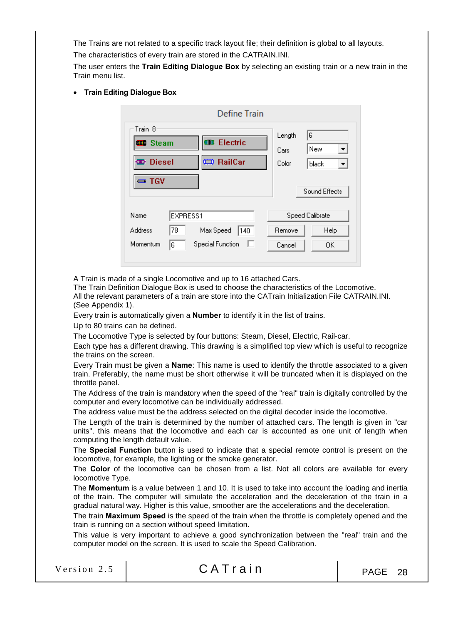The Trains are not related to a specific track layout file; their definition is global to all layouts.

The characteristics of every train are stored in the CATRAIN.INI.

The user enters the Train Editing Dialogue Box by selecting an existing train or a new train in the Train menu list.

Train Editing Dialogue Box

|                            |          | Define Train            |                |                        |
|----------------------------|----------|-------------------------|----------------|------------------------|
| Train 8<br><b>Steam</b>    |          | <b>Electric</b><br>œ    | Length<br>Cars | 6<br>New               |
| <b>D</b> Diesel<br>$= TGV$ |          | CO RailCar              | Color          | black<br>Sound Effects |
| Name                       | EXPRESS1 |                         |                | Speed Calibrate        |
| <b>Address</b>             | 78       | Max Speed<br>140        | Remove         | Help                   |
| Momentum                   | 6        | <b>Special Function</b> | Cancel         | OK.                    |

A Train is made of a single Locomotive and up to 16 attached Cars.

The Train Definition Dialogue Box is used to choose the characteristics of the Locomotive. All the relevant parameters of a train are store into the CATrain Initialization File CATRAIN.INI. (See Appendix 1).

Every train is automatically given a Number to identify it in the list of trains.

Up to 80 trains can be defined.

The Locomotive Type is selected by four buttons: Steam, Diesel, Electric, Rail-car.

Each type has a different drawing. This drawing is a simplified top view which is useful to recognize the trains on the screen.

Every Train must be given a **Name**: This name is used to identify the throttle associated to a given train. Preferably, the name must be short otherwise it will be truncated when it is displayed on the throttle panel.

The Address of the train is mandatory when the speed of the "real" train is digitally controlled by the computer and every locomotive can be individually addressed.

The address value must be the address selected on the digital decoder inside the locomotive.

The Length of the train is determined by the number of attached cars. The length is given in "car units", this means that the locomotive and each car is accounted as one unit of length when computing the length default value.

The Special Function button is used to indicate that a special remote control is present on the locomotive, for example, the lighting or the smoke generator.

The Color of the locomotive can be chosen from a list. Not all colors are available for every locomotive Type.

The Momentum is a value between 1 and 10. It is used to take into account the loading and inertia of the train. The computer will simulate the acceleration and the deceleration of the train in a gradual natural way. Higher is this value, smoother are the accelerations and the deceleration.

The train Maximum Speed is the speed of the train when the throttle is completely opened and the train is running on a section without speed limitation.

This value is very important to achieve a good synchronization between the "real" train and the computer model on the screen. It is used to scale the Speed Calibration.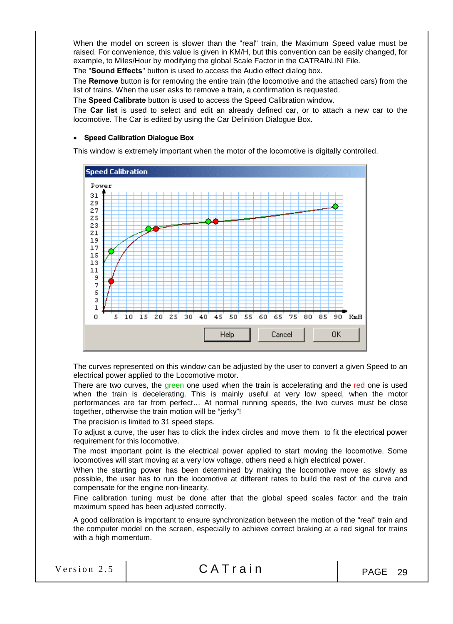When the model on screen is slower than the "real" train, the Maximum Speed value must be raised. For convenience, this value is given in KM/H, but this convention can be easily changed, for example, to Miles/Hour by modifying the global Scale Factor in the CATRAIN.INI File.

The "Sound Effects" button is used to access the Audio effect dialog box.

The Remove button is for removing the entire train (the locomotive and the attached cars) from the list of trains. When the user asks to remove a train, a confirmation is requested.

The Speed Calibrate button is used to access the Speed Calibration window.

The Car list is used to select and edit an already defined car, or to attach a new car to the locomotive. The Car is edited by using the Car Definition Dialogue Box.

#### • Speed Calibration Dialogue Box

This window is extremely important when the motor of the locomotive is digitally controlled.



The curves represented on this window can be adjusted by the user to convert a given Speed to an electrical power applied to the Locomotive motor.

There are two curves, the green one used when the train is accelerating and the red one is used when the train is decelerating. This is mainly useful at very low speed, when the motor performances are far from perfect… At normal running speeds, the two curves must be close together, otherwise the train motion will be "jerky"!

The precision is limited to 31 speed steps.

To adjust a curve, the user has to click the index circles and move them to fit the electrical power requirement for this locomotive.

The most important point is the electrical power applied to start moving the locomotive. Some locomotives will start moving at a very low voltage, others need a high electrical power.

When the starting power has been determined by making the locomotive move as slowly as possible, the user has to run the locomotive at different rates to build the rest of the curve and compensate for the engine non-linearity.

Fine calibration tuning must be done after that the global speed scales factor and the train maximum speed has been adjusted correctly.

A good calibration is important to ensure synchronization between the motion of the "real" train and the computer model on the screen, especially to achieve correct braking at a red signal for trains with a high momentum.

|  | Version 2.5 |  |
|--|-------------|--|
|  |             |  |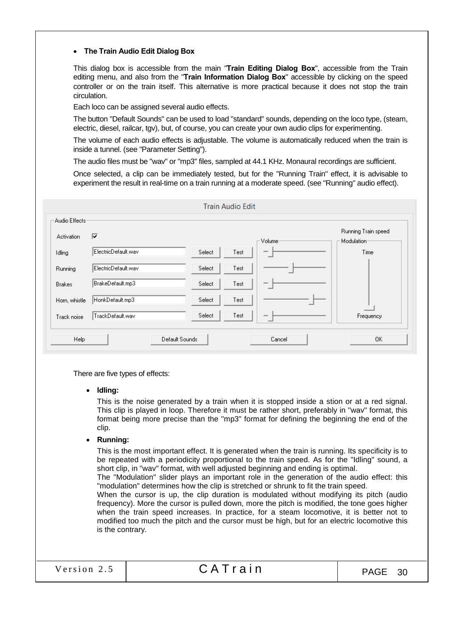# The Train Audio Edit Dialog Box

This dialog box is accessible from the main "Train Editing Dialog Box", accessible from the Train editing menu, and also from the "Train Information Dialog Box" accessible by clicking on the speed controller or on the train itself. This alternative is more practical because it does not stop the train circulation.

Each loco can be assigned several audio effects.

The button "Default Sounds" can be used to load "standard" sounds, depending on the loco type, (steam, electric, diesel, railcar, tgv), but, of course, you can create your own audio clips for experimenting.

The volume of each audio effects is adjustable. The volume is automatically reduced when the train is inside a tunnel. (see "Parameter Setting").

The audio files must be "wav" or "mp3" files, sampled at 44.1 KHz. Monaural recordings are sufficient.

Once selected, a clip can be immediately tested, but for the "Running Train" effect, it is advisable to experiment the result in real-time on a train running at a moderate speed. (see "Running" audio effect).

| Audio Effects <sup>.</sup><br><b>Activation</b> | ⊽                   |                | Volume <sup>.</sup> | Running Train speed<br>Modulation- |
|-------------------------------------------------|---------------------|----------------|---------------------|------------------------------------|
| Idling                                          | ElectricDefault.wav | Select<br>Test | $\overline{}$       | Time                               |
| Running                                         | ElectricDefault.wav | Select<br>Test |                     |                                    |
| <b>Brakes</b>                                   | BrakeDefault.mp3    | Select<br>Test |                     |                                    |
| Horn, whistle                                   | HonkDefault.mp3     | Select<br>Test |                     |                                    |
| Track noise                                     | TrackDefault.wav    | Select<br>Test | $\overline{}$       | Frequency                          |

There are five types of effects:

• Idling:

This is the noise generated by a train when it is stopped inside a stion or at a red signal. This clip is played in loop. Therefore it must be rather short, preferably in "wav" format, this format being more precise than the "mp3" format for defining the beginning the end of the clip.

• Running:

This is the most important effect. It is generated when the train is running. Its specificity is to be repeated with a periodicity proportional to the train speed. As for the "Idling" sound, a short clip, in "wav" format, with well adjusted beginning and ending is optimal.

The "Modulation" slider plays an important role in the generation of the audio effect: this "modulation" determines how the clip is stretched or shrunk to fit the train speed.

When the cursor is up, the clip duration is modulated without modifying its pitch (audio frequency). More the cursor is pulled down, more the pitch is modified, the tone goes higher when the train speed increases. In practice, for a steam locomotive, it is better not to modified too much the pitch and the cursor must be high, but for an electric locomotive this is the contrary.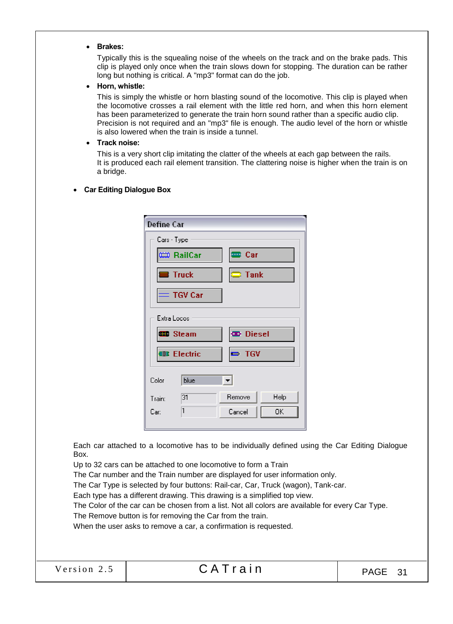#### Brakes:

Typically this is the squealing noise of the wheels on the track and on the brake pads. This clip is played only once when the train slows down for stopping. The duration can be rather long but nothing is critical. A "mp3" format can do the job.

#### Horn, whistle:

This is simply the whistle or horn blasting sound of the locomotive. This clip is played when the locomotive crosses a rail element with the little red horn, and when this horn element has been parameterized to generate the train horn sound rather than a specific audio clip. Precision is not required and an "mp3" file is enough. The audio level of the horn or whistle is also lowered when the train is inside a tunnel.

# Track noise:

This is a very short clip imitating the clatter of the wheels at each gap between the rails. It is produced each rail element transition. The clattering noise is higher when the train is on a bridge.

#### Car Editing Dialogue Box

| Cars - Type<br><b>EB</b> Car<br>(⇔ RailCar |      |
|--------------------------------------------|------|
|                                            |      |
|                                            |      |
| $\equiv$ Truck<br>$\equiv$ Tank            |      |
| $=$ TGV Car                                |      |
| Extra Locos                                |      |
| <b>CD</b> Diesel<br><b>Steam</b>           |      |
| <b>ID</b> Electric<br>$= TGV$              |      |
| blue<br>Color                              |      |
| 131<br><b>Remove</b><br>Traint             | Help |
| 1<br>Cancel<br>Car:                        | 0K.  |

Each car attached to a locomotive has to be individually defined using the Car Editing Dialogue Box.

Up to 32 cars can be attached to one locomotive to form a Train

The Car number and the Train number are displayed for user information only.

The Car Type is selected by four buttons: Rail-car, Car, Truck (wagon), Tank-car.

Each type has a different drawing. This drawing is a simplified top view.

The Color of the car can be chosen from a list. Not all colors are available for every Car Type.

The Remove button is for removing the Car from the train.

When the user asks to remove a car, a confirmation is requested.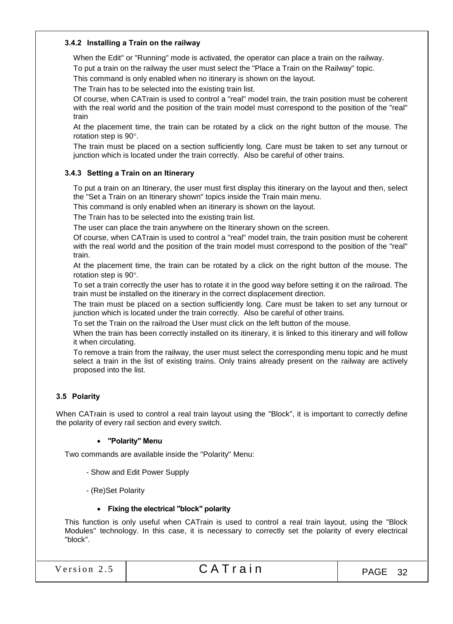# 3.4.2 Installing a Train on the railway

When the Edit" or "Running" mode is activated, the operator can place a train on the railway. To put a train on the railway the user must select the "Place a Train on the Railway" topic.

This command is only enabled when no itinerary is shown on the layout.

The Train has to be selected into the existing train list.

Of course, when CATrain is used to control a "real" model train, the train position must be coherent with the real world and the position of the train model must correspond to the position of the "real" train

At the placement time, the train can be rotated by a click on the right button of the mouse. The rotation step is 90.

The train must be placed on a section sufficiently long. Care must be taken to set any turnout or junction which is located under the train correctly. Also be careful of other trains.

# 3.4.3 Setting a Train on an Itinerary

To put a train on an Itinerary, the user must first display this itinerary on the layout and then, select the "Set a Train on an Itinerary shown" topics inside the Train main menu.

This command is only enabled when an itinerary is shown on the layout.

The Train has to be selected into the existing train list.

The user can place the train anywhere on the Itinerary shown on the screen.

Of course, when CATrain is used to control a "real" model train, the train position must be coherent with the real world and the position of the train model must correspond to the position of the "real" train.

At the placement time, the train can be rotated by a click on the right button of the mouse. The rotation step is 90°.

To set a train correctly the user has to rotate it in the good way before setting it on the railroad. The train must be installed on the itinerary in the correct displacement direction.

The train must be placed on a section sufficiently long. Care must be taken to set any turnout or junction which is located under the train correctly. Also be careful of other trains.

To set the Train on the railroad the User must click on the left button of the mouse.

When the train has been correctly installed on its itinerary, it is linked to this itinerary and will follow it when circulating.

To remove a train from the railway, the user must select the corresponding menu topic and he must select a train in the list of existing trains. Only trains already present on the railway are actively proposed into the list.

# 3.5 Polarity

When CATrain is used to control a real train layout using the "Block", it is important to correctly define the polarity of every rail section and every switch.

#### "Polarity" Menu

Two commands are available inside the "Polarity" Menu:

- Show and Edit Power Supply
- (Re)Set Polarity

#### Fixing the electrical "block" polarity

This function is only useful when CATrain is used to control a real train layout, using the "Block Modules" technology. In this case, it is necessary to correctly set the polarity of every electrical "block".

| Version 2.5 |  |  |  |  |  |
|-------------|--|--|--|--|--|
|             |  |  |  |  |  |

# $CATrain$   $PAGE 32$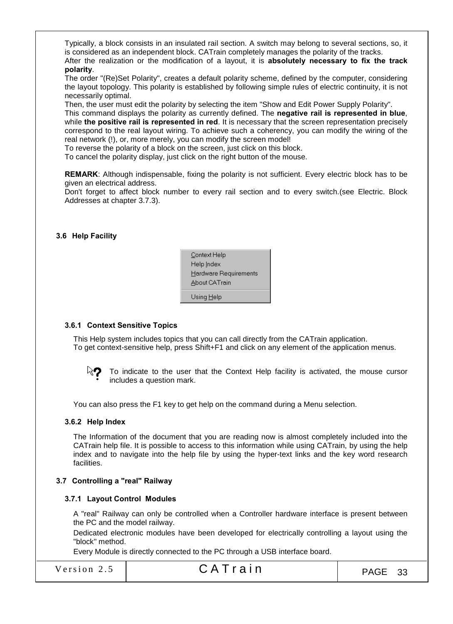Typically, a block consists in an insulated rail section. A switch may belong to several sections, so, it is considered as an independent block. CATrain completely manages the polarity of the tracks. After the realization or the modification of a layout, it is absolutely necessary to fix the track polarity.

The order "(Re)Set Polarity", creates a default polarity scheme, defined by the computer, considering the layout topology. This polarity is established by following simple rules of electric continuity, it is not necessarily optimal.

Then, the user must edit the polarity by selecting the item "Show and Edit Power Supply Polarity". This command displays the polarity as currently defined. The negative rail is represented in blue, while the positive rail is represented in red. It is necessary that the screen representation precisely correspond to the real layout wiring. To achieve such a coherency, you can modify the wiring of the real network (!), or, more merely, you can modify the screen model!

To reverse the polarity of a block on the screen, just click on this block.

To cancel the polarity display, just click on the right button of the mouse.

REMARK: Although indispensable, fixing the polarity is not sufficient. Every electric block has to be given an electrical address.

Don't forget to affect block number to every rail section and to every switch.(see Electric. Block Addresses at chapter 3.7.3).

#### 3.6 Help Facility

| Context Help          |
|-----------------------|
| Help Index            |
| Hardware Requirements |
| About CATrain         |
| Using <u>H</u> elp    |

#### 3.6.1 Context Sensitive Topics

This Help system includes topics that you can call directly from the CATrain application. To get context-sensitive help, press Shift+F1 and click on any element of the application menus.



To indicate to the user that the Context Help facility is activated, the mouse cursor includes a question mark.

You can also press the F1 key to get help on the command during a Menu selection.

#### 3.6.2 Help Index

The Information of the document that you are reading now is almost completely included into the CATrain help file. It is possible to access to this information while using CATrain, by using the help index and to navigate into the help file by using the hyper-text links and the key word research facilities.

#### 3.7 Controlling a "real" Railway

#### 3.7.1 Layout Control Modules

A "real" Railway can only be controlled when a Controller hardware interface is present between the PC and the model railway.

Dedicated electronic modules have been developed for electrically controlling a layout using the "block" method.

Every Module is directly connected to the PC through a USB interface board.

# Version 2.5  $\begin{array}{|c|c|c|c|c|c|}\n\hline\n\end{array}$  CATrain  $\begin{array}{|c|c|c|c|c|c|}\n\hline\n\end{array}$  PAGE 33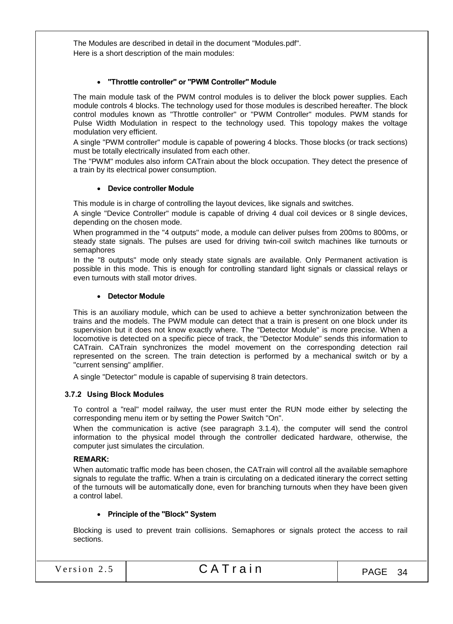The Modules are described in detail in the document "Modules.pdf". Here is a short description of the main modules:

# "Throttle controller" or "PWM Controller" Module

The main module task of the PWM control modules is to deliver the block power supplies. Each module controls 4 blocks. The technology used for those modules is described hereafter. The block control modules known as "Throttle controller" or "PWM Controller" modules. PWM stands for Pulse Width Modulation in respect to the technology used. This topology makes the voltage modulation very efficient.

A single "PWM controller" module is capable of powering 4 blocks. Those blocks (or track sections) must be totally electrically insulated from each other.

The "PWM" modules also inform CATrain about the block occupation. They detect the presence of a train by its electrical power consumption.

#### Device controller Module

This module is in charge of controlling the layout devices, like signals and switches.

A single "Device Controller" module is capable of driving 4 dual coil devices or 8 single devices, depending on the chosen mode.

When programmed in the "4 outputs" mode, a module can deliver pulses from 200ms to 800ms, or steady state signals. The pulses are used for driving twin-coil switch machines like turnouts or semaphores

In the "8 outputs" mode only steady state signals are available. Only Permanent activation is possible in this mode. This is enough for controlling standard light signals or classical relays or even turnouts with stall motor drives.

#### Detector Module

This is an auxiliary module, which can be used to achieve a better synchronization between the trains and the models. The PWM module can detect that a train is present on one block under its supervision but it does not know exactly where. The "Detector Module" is more precise. When a locomotive is detected on a specific piece of track, the "Detector Module" sends this information to CATrain. CATrain synchronizes the model movement on the corresponding detection rail represented on the screen. The train detection is performed by a mechanical switch or by a "current sensing" amplifier.

A single "Detector" module is capable of supervising 8 train detectors.

#### 3.7.2 Using Block Modules

To control a "real" model railway, the user must enter the RUN mode either by selecting the corresponding menu item or by setting the Power Switch "On".

When the communication is active (see paragraph 3.1.4), the computer will send the control information to the physical model through the controller dedicated hardware, otherwise, the computer just simulates the circulation.

#### REMARK:

When automatic traffic mode has been chosen, the CATrain will control all the available semaphore signals to regulate the traffic. When a train is circulating on a dedicated itinerary the correct setting of the turnouts will be automatically done, even for branching turnouts when they have been given a control label.

#### • Principle of the "Block" System

Blocking is used to prevent train collisions. Semaphores or signals protect the access to rail sections.

| Version 2.5 | CATrain | PAGE 34 |
|-------------|---------|---------|
|             |         |         |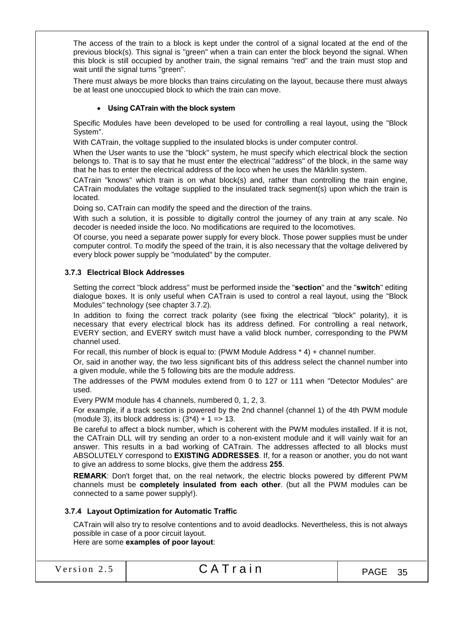The access of the train to a block is kept under the control of a signal located at the end of the previous block(s). This signal is "green" when a train can enter the block beyond the signal. When this block is still occupied by another train, the signal remains "red" and the train must stop and wait until the signal turns "green".

There must always be more blocks than trains circulating on the layout, because there must always be at least one unoccupied block to which the train can move.

# Using CATrain with the block system

Specific Modules have been developed to be used for controlling a real layout, using the "Block System".

With CATrain, the voltage supplied to the insulated blocks is under computer control.

When the User wants to use the "block" system, he must specify which electrical block the section belongs to. That is to say that he must enter the electrical "address" of the block, in the same way that he has to enter the electrical address of the loco when he uses the Märklin system.

CATrain "knows" which train is on what block(s) and, rather than controlling the train engine, CATrain modulates the voltage supplied to the insulated track segment(s) upon which the train is located.

Doing so, CATrain can modify the speed and the direction of the trains.

With such a solution, it is possible to digitally control the journey of any train at any scale. No decoder is needed inside the loco. No modifications are required to the locomotives.

Of course, you need a separate power supply for every block. Those power supplies must be under computer control. To modify the speed of the train, it is also necessary that the voltage delivered by every block power supply be "modulated" by the computer.

#### 3.7.3 Electrical Block Addresses

Setting the correct "block address" must be performed inside the "section" and the "switch" editing dialogue boxes. It is only useful when CATrain is used to control a real layout, using the "Block Modules" technology (see chapter 3.7.2).

In addition to fixing the correct track polarity (see fixing the electrical "block" polarity), it is necessary that every electrical block has its address defined. For controlling a real network, EVERY section, and EVERY switch must have a valid block number, corresponding to the PWM channel used.

For recall, this number of block is equal to: (PWM Module Address \* 4) + channel number.

Or, said in another way, the two less significant bits of this address select the channel number into a given module, while the 5 following bits are the module address.

The addresses of the PWM modules extend from 0 to 127 or 111 when "Detector Modules" are used.

Every PWM module has 4 channels, numbered 0, 1, 2, 3.

For example, if a track section is powered by the 2nd channel (channel 1) of the 4th PWM module (module 3), its block address is:  $(3*4) + 1 = > 13$ .

Be careful to affect a block number, which is coherent with the PWM modules installed. If it is not, the CATrain DLL will try sending an order to a non-existent module and it will vainly wait for an answer. This results in a bad working of CATrain. The addresses affected to all blocks must ABSOLUTELY correspond to **EXISTING ADDRESSES**. If, for a reason or another, you do not want to give an address to some blocks, give them the address 255.

REMARK: Don't forget that, on the real network, the electric blocks powered by different PWM channels must be completely insulated from each other. (but all the PWM modules can be connected to a same power supply!).

#### 3.7.4 Layout Optimization for Automatic Traffic

CATrain will also try to resolve contentions and to avoid deadlocks. Nevertheless, this is not always possible in case of a poor circuit layout.

Here are some examples of poor layout:

| Version 2.5 | CATrain | PAGE 35 |
|-------------|---------|---------|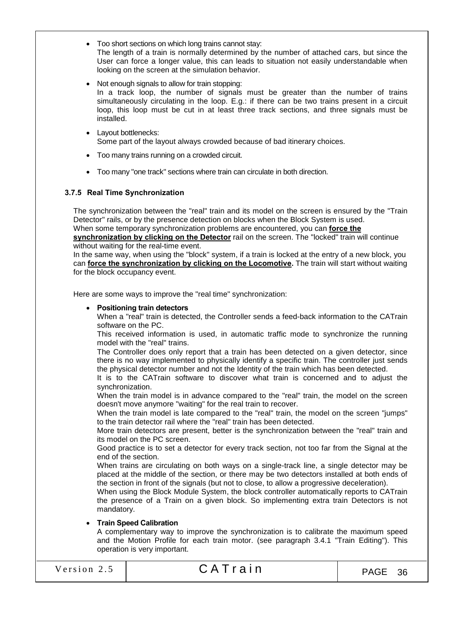- Too short sections on which long trains cannot stay: The length of a train is normally determined by the number of attached cars, but since the User can force a longer value, this can leads to situation not easily understandable when looking on the screen at the simulation behavior.
- Not enough signals to allow for train stopping: In a track loop, the number of signals must be greater than the number of trains simultaneously circulating in the loop. E.g.: if there can be two trains present in a circuit loop, this loop must be cut in at least three track sections, and three signals must be installed.
- Layout bottlenecks: Some part of the layout always crowded because of bad itinerary choices.
- Too many trains running on a crowded circuit.
- Too many "one track" sections where train can circulate in both direction.

# 3.7.5 Real Time Synchronization

The synchronization between the "real" train and its model on the screen is ensured by the "Train Detector" rails, or by the presence detection on blocks when the Block System is used. When some temporary synchronization problems are encountered, you can force the synchronization by clicking on the Detector rail on the screen. The "locked" train will continue without waiting for the real-time event.

In the same way, when using the "block" system, if a train is locked at the entry of a new block, you can force the synchronization by clicking on the Locomotive. The train will start without waiting for the block occupancy event.

Here are some ways to improve the "real time" synchronization:

# Positioning train detectors

When a "real" train is detected, the Controller sends a feed-back information to the CATrain software on the PC.

This received information is used, in automatic traffic mode to synchronize the running model with the "real" trains.

The Controller does only report that a train has been detected on a given detector, since there is no way implemented to physically identify a specific train. The controller just sends the physical detector number and not the Identity of the train which has been detected.

It is to the CATrain software to discover what train is concerned and to adjust the synchronization.

When the train model is in advance compared to the "real" train, the model on the screen doesn't move anymore "waiting" for the real train to recover.

When the train model is late compared to the "real" train, the model on the screen "jumps" to the train detector rail where the "real" train has been detected.

More train detectors are present, better is the synchronization between the "real" train and its model on the PC screen.

Good practice is to set a detector for every track section, not too far from the Signal at the end of the section.

When trains are circulating on both ways on a single-track line, a single detector may be placed at the middle of the section, or there may be two detectors installed at both ends of the section in front of the signals (but not to close, to allow a progressive deceleration).

When using the Block Module System, the block controller automatically reports to CATrain the presence of a Train on a given block. So implementing extra train Detectors is not mandatory.

# Train Speed Calibration

A complementary way to improve the synchronization is to calibrate the maximum speed and the Motion Profile for each train motor. (see paragraph 3.4.1 "Train Editing"). This operation is very important.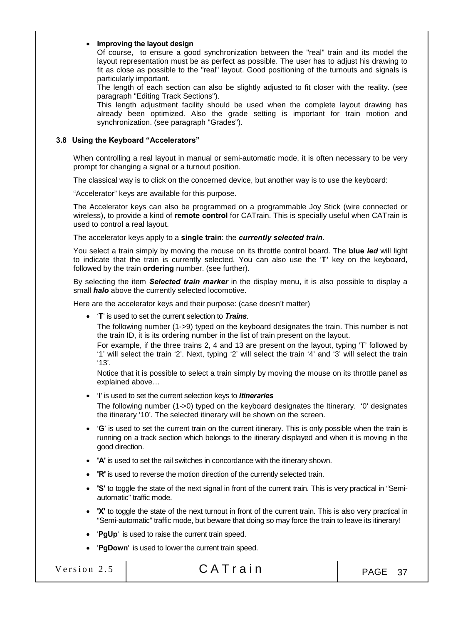#### • Improving the layout design

Of course, to ensure a good synchronization between the "real" train and its model the layout representation must be as perfect as possible. The user has to adjust his drawing to fit as close as possible to the "real" layout. Good positioning of the turnouts and signals is particularly important.

The length of each section can also be slightly adjusted to fit closer with the reality. (see paragraph "Editing Track Sections").

This length adjustment facility should be used when the complete layout drawing has already been optimized. Also the grade setting is important for train motion and synchronization. (see paragraph "Grades").

#### 3.8 Using the Keyboard "Accelerators"

When controlling a real layout in manual or semi-automatic mode, it is often necessary to be very prompt for changing a signal or a turnout position.

The classical way is to click on the concerned device, but another way is to use the keyboard:

"Accelerator" keys are available for this purpose.

The Accelerator keys can also be programmed on a programmable Joy Stick (wire connected or wireless), to provide a kind of remote control for CATrain. This is specially useful when CATrain is used to control a real layout.

The accelerator keys apply to a single train: the *currently selected train*.

You select a train simply by moving the mouse on its throttle control board. The blue *led* will light to indicate that the train is currently selected. You can also use the 'T' key on the keyboard, followed by the train **ordering** number. (see further).

By selecting the item *Selected train marker* in the display menu, it is also possible to display a small *halo* above the currently selected locomotive.

Here are the accelerator keys and their purpose: (case doesn't matter)

'T' is used to set the current selection to *Trains*.

The following number (1->9) typed on the keyboard designates the train. This number is not the train ID, it is its ordering number in the list of train present on the layout.

For example, if the three trains 2, 4 and 13 are present on the layout, typing 'T' followed by '1' will select the train '2'. Next, typing '2' will select the train '4' and '3' will select the train '13'.

Notice that it is possible to select a train simply by moving the mouse on its throttle panel as explained above…

'I' is used to set the current selection keys to *Itineraries*

The following number (1->0) typed on the keyboard designates the Itinerary. '0' designates the itinerary '10'. The selected itinerary will be shown on the screen.

- 'G' is used to set the current train on the current itinerary. This is only possible when the train is running on a track section which belongs to the itinerary displayed and when it is moving in the good direction.
- 'A' is used to set the rail switches in concordance with the itinerary shown.
- 'R' is used to reverse the motion direction of the currently selected train.
- 'S' to toggle the state of the next signal in front of the current train. This is very practical in "Semiautomatic" traffic mode.
- 'X' to toggle the state of the next turnout in front of the current train. This is also very practical in "Semi-automatic" traffic mode, but beware that doing so may force the train to leave its itinerary!
- 'PgUp' is used to raise the current train speed.
- 'PgDown' is used to lower the current train speed.

|  |  |  | Version 2.5 |  |
|--|--|--|-------------|--|
|  |  |  |             |  |

# $CAT rain$   $PAGE 37$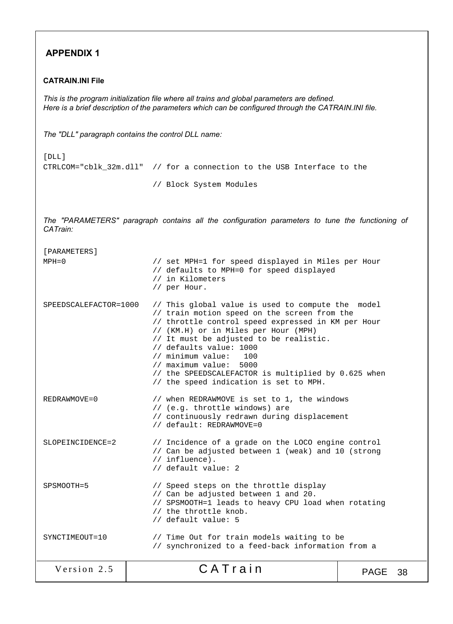# APPENDIX 1

# CATRAIN.INI File

*This is the program initialization file where all trains and global parameters are defined. Here is a brief description of the parameters which can be configured through the CATRAIN.INI file.*

*The "DLL" paragraph contains the control DLL name:*

```
[DLL]
CTRLCOM="cblk_32m.dll" // for a connection to the USB Interface to the
```
// Block System Modules

*The "PARAMETERS" paragraph contains all the configuration parameters to tune the functioning of CATrain:*

| [PARAMETERS]          |                                                                                                                                                                                                                                                                                                                                                                                                                           |             |    |
|-----------------------|---------------------------------------------------------------------------------------------------------------------------------------------------------------------------------------------------------------------------------------------------------------------------------------------------------------------------------------------------------------------------------------------------------------------------|-------------|----|
| $MPH = 0$             | // set MPH=1 for speed displayed in Miles per Hour<br>// defaults to MPH=0 for speed displayed<br>// in Kilometers<br>// per Hour.                                                                                                                                                                                                                                                                                        |             |    |
| SPEEDSCALEFACTOR=1000 | // This global value is used to compute the<br>// train motion speed on the screen from the<br>// throttle control speed expressed in KM per Hour<br>// (KM.H) or in Miles per Hour (MPH)<br>// It must be adjusted to be realistic.<br>// defaults value: 1000<br>// minimum value:<br>100<br>// maximum value:<br>5000<br>// the SPEEDSCALEFACTOR is multiplied by 0.625 when<br>// the speed indication is set to MPH. | model       |    |
| $REDRAWMOVE = 0$      | // when REDRAWMOVE is set to 1, the windows<br>// (e.g. throttle windows) are<br>// continuously redrawn during displacement<br>// default: REDRAWMOVE=0                                                                                                                                                                                                                                                                  |             |    |
| SLOPEINCIDENCE=2      | // Incidence of a grade on the LOCO engine control<br>// Can be adjusted between 1 (weak) and 10 (strong<br>$//$ influence).<br>// default value: 2                                                                                                                                                                                                                                                                       |             |    |
| SPSMOOTH=5            | // Speed steps on the throttle display<br>// Can be adjusted between 1 and 20.<br>// SPSMOOTH=1 leads to heavy CPU load when rotating<br>// the throttle knob.<br>// default value: 5                                                                                                                                                                                                                                     |             |    |
| SYNCTIMEOUT=10        | // Time Out for train models waiting to be<br>// synchronized to a feed-back information from a                                                                                                                                                                                                                                                                                                                           |             |    |
| Version 2.5           | CATrain                                                                                                                                                                                                                                                                                                                                                                                                                   | <b>PAGE</b> | 38 |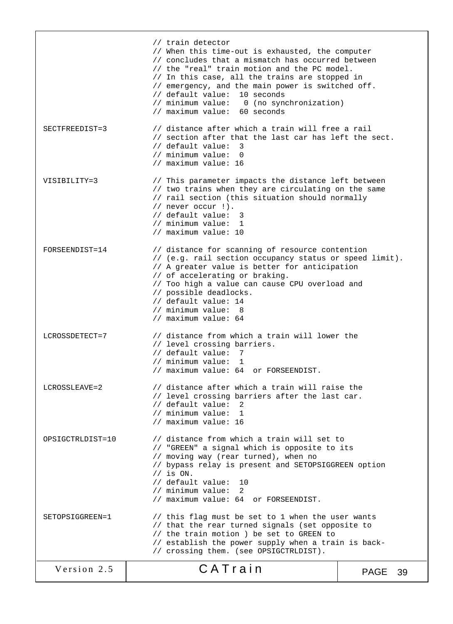Version 2.5  $\begin{array}{|c|c|c|c|c|c|c|c|c|}\n\hline\n\text{Version 2.5} & \text{CATTain} & \text{PAGE 39}\n\end{array}$  // train detector // When this time-out is exhausted, the computer // concludes that a mismatch has occurred between // the "real" train motion and the PC model. // In this case, all the trains are stopped in // emergency, and the main power is switched off. // default value: 10 seconds<br>// minimum value: 0 (no syn 0 (no synchronization) // maximum value: 60 seconds SECTFREEDIST=3 // distance after which a train will free a rail // section after that the last car has left the sect. // default value: 3 // minimum value: 0 // maximum value: 16 VISIBILITY=3 // This parameter impacts the distance left between // two trains when they are circulating on the same // rail section (this situation should normally // never occur !). // default value: 3 // minimum value: 1 // maximum value: 10 FORSEENDIST=14 // distance for scanning of resource contention // (e.g. rail section occupancy status or speed limit). // A greater value is better for anticipation // of accelerating or braking. // Too high a value can cause CPU overload and // possible deadlocks. // default value: 14 // minimum value: 8 // maximum value: 64 LCROSSDETECT=7 // distance from which a train will lower the // level crossing barriers. // default value: 7 // minimum value: 1 // maximum value: 64 or FORSEENDIST. LCROSSLEAVE=2 // distance after which a train will raise the // level crossing barriers after the last car. // default value: 2 // minimum value: 1 // maximum value: 16 OPSIGCTRLDIST=10 // distance from which a train will set to // "GREEN" a signal which is opposite to its // moving way (rear turned), when no // bypass relay is present and SETOPSIGGREEN option // is ON. // default value: 10 // minimum value: 2 // maximum value: 64 or FORSEENDIST. SETOPSIGGREEN=1 // this flag must be set to 1 when the user wants // that the rear turned signals (set opposite to // the train motion ) be set to GREEN to // establish the power supply when a train is back- // crossing them. (see OPSIGCTRLDIST).